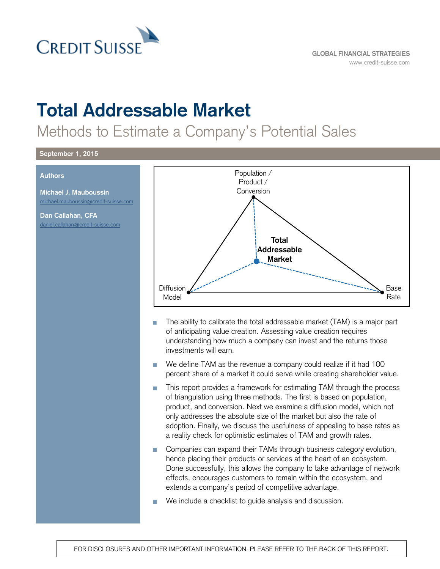

# **Total Addressable Market**

Methods to Estimate a Company's Potential Sales

#### **September 1, 2015**

#### **Authors**

**Michael J. Mauboussin** [michael.mauboussin@credit-suisse.com](mailto:michael.mauboussin@credit-suisse.com)

**Dan Callahan, CFA** [daniel.callahan@credit-suisse.com](mailto:daniel.callahan@credit-suisse.com)



- The ability to calibrate the total addressable market (TAM) is a major part of anticipating value creation. Assessing value creation requires understanding how much a company can invest and the returns those investments will earn.
- We define TAM as the revenue a company could realize if it had 100 percent share of a market it could serve while creating shareholder value.
- This report provides a framework for estimating TAM through the process of triangulation using three methods. The first is based on population, product, and conversion. Next we examine a diffusion model, which not only addresses the absolute size of the market but also the rate of adoption. Finally, we discuss the usefulness of appealing to base rates as a reality check for optimistic estimates of TAM and growth rates.
- Companies can expand their TAMs through business category evolution, hence placing their products or services at the heart of an ecosystem. Done successfully, this allows the company to take advantage of network effects, encourages customers to remain within the ecosystem, and extends a company's period of competitive advantage.
- We include a checklist to guide analysis and discussion.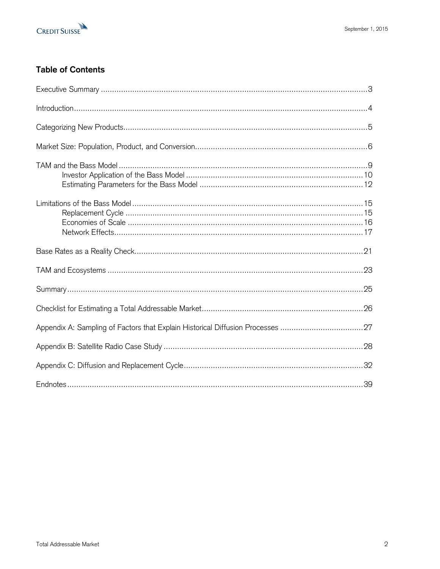

# **Table of Contents**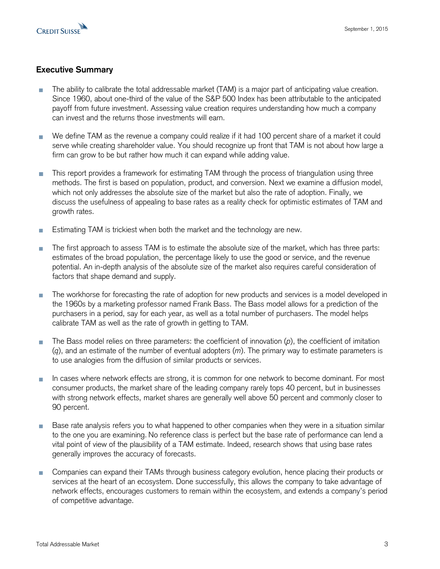

# **Executive Summary**

- The ability to calibrate the total addressable market (TAM) is a major part of anticipating value creation. Since 1960, about one-third of the value of the S&P 500 Index has been attributable to the anticipated payoff from future investment. Assessing value creation requires understanding how much a company can invest and the returns those investments will earn.
- We define TAM as the revenue a company could realize if it had 100 percent share of a market it could serve while creating shareholder value. You should recognize up front that TAM is not about how large a firm can grow to be but rather how much it can expand while adding value.
- This report provides a framework for estimating TAM through the process of triangulation using three T. methods. The first is based on population, product, and conversion. Next we examine a diffusion model, which not only addresses the absolute size of the market but also the rate of adoption. Finally, we discuss the usefulness of appealing to base rates as a reality check for optimistic estimates of TAM and growth rates.
- Estimating TAM is trickiest when both the market and the technology are new. п
- The first approach to assess TAM is to estimate the absolute size of the market, which has three parts: estimates of the broad population, the percentage likely to use the good or service, and the revenue potential. An in-depth analysis of the absolute size of the market also requires careful consideration of factors that shape demand and supply.
- The workhorse for forecasting the rate of adoption for new products and services is a model developed in the 1960s by a marketing professor named Frank Bass. The Bass model allows for a prediction of the purchasers in a period, say for each year, as well as a total number of purchasers. The model helps calibrate TAM as well as the rate of growth in getting to TAM.
- The Bass model relies on three parameters: the coefficient of innovation (*p*), the coefficient of imitation (*q*), and an estimate of the number of eventual adopters (*m*). The primary way to estimate parameters is to use analogies from the diffusion of similar products or services.
- In cases where network effects are strong, it is common for one network to become dominant. For most consumer products, the market share of the leading company rarely tops 40 percent, but in businesses with strong network effects, market shares are generally well above 50 percent and commonly closer to 90 percent.
- Base rate analysis refers you to what happened to other companies when they were in a situation similar п to the one you are examining. No reference class is perfect but the base rate of performance can lend a vital point of view of the plausibility of a TAM estimate. Indeed, research shows that using base rates generally improves the accuracy of forecasts.
- Companies can expand their TAMs through business category evolution, hence placing their products or  $\overline{\phantom{a}}$ services at the heart of an ecosystem. Done successfully, this allows the company to take advantage of network effects, encourages customers to remain within the ecosystem, and extends a company's period of competitive advantage.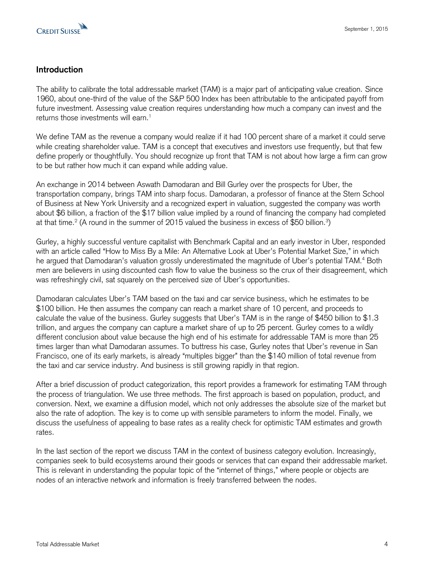

# **Introduction**

The ability to calibrate the total addressable market (TAM) is a major part of anticipating value creation. Since 1960, about one-third of the value of the S&P 500 Index has been attributable to the anticipated payoff from future investment. Assessing value creation requires understanding how much a company can invest and the returns those investments will earn. $1$ 

We define TAM as the revenue a company would realize if it had 100 percent share of a market it could serve while creating shareholder value. TAM is a concept that executives and investors use frequently, but that few define properly or thoughtfully. You should recognize up front that TAM is not about how large a firm can grow to be but rather how much it can expand while adding value.

An exchange in 2014 between Aswath Damodaran and Bill Gurley over the prospects for Uber, the transportation company, brings TAM into sharp focus. Damodaran, a professor of finance at the Stern School of Business at New York University and a recognized expert in valuation, suggested the company was worth about \$6 billion, a fraction of the \$17 billion value implied by a round of financing the company had completed at that time. $^2$  (A round in the summer of 2015 valued the business in excess of \$50 billion. $^3\!$ 

Gurley, a highly successful venture capitalist with Benchmark Capital and an early investor in Uber, responded with an article called "How to Miss By a Mile: An Alternative Look at Uber's Potential Market Size," in which he argued that Damodaran's valuation grossly underestimated the magnitude of Uber's potential TAM.<sup>4</sup> Both men are believers in using discounted cash flow to value the business so the crux of their disagreement, which was refreshingly civil, sat squarely on the perceived size of Uber's opportunities.

Damodaran calculates Uber's TAM based on the taxi and car service business, which he estimates to be \$100 billion. He then assumes the company can reach a market share of 10 percent, and proceeds to calculate the value of the business. Gurley suggests that Uber's TAM is in the range of \$450 billion to \$1.3 trillion, and argues the company can capture a market share of up to 25 percent. Gurley comes to a wildly different conclusion about value because the high end of his estimate for addressable TAM is more than 25 times larger than what Damodaran assumes. To buttress his case, Gurley notes that Uber's revenue in San Francisco, one of its early markets, is already "multiples bigger" than the \$140 million of total revenue from the taxi and car service industry. And business is still growing rapidly in that region.

After a brief discussion of product categorization, this report provides a framework for estimating TAM through the process of triangulation. We use three methods. The first approach is based on population, product, and conversion. Next, we examine a diffusion model, which not only addresses the absolute size of the market but also the rate of adoption. The key is to come up with sensible parameters to inform the model. Finally, we discuss the usefulness of appealing to base rates as a reality check for optimistic TAM estimates and growth rates.

In the last section of the report we discuss TAM in the context of business category evolution. Increasingly, companies seek to build ecosystems around their goods or services that can expand their addressable market. This is relevant in understanding the popular topic of the "internet of things," where people or objects are nodes of an interactive network and information is freely transferred between the nodes.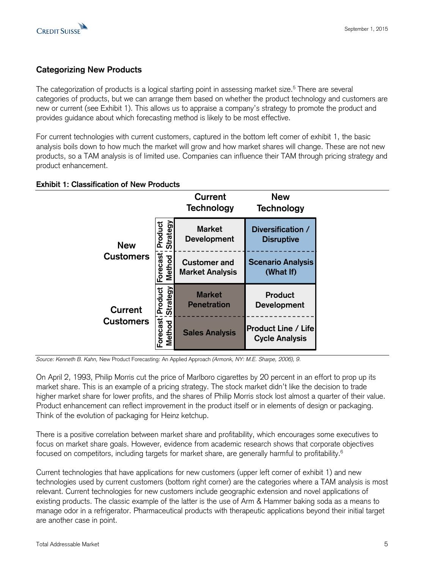

# **Categorizing New Products**

The categorization of products is a logical starting point in assessing market size.<sup>5</sup> There are several categories of products, but we can arrange them based on whether the product technology and customers are new or current (see Exhibit 1). This allows us to appraise a company's strategy to promote the product and provides guidance about which forecasting method is likely to be most effective.

For current technologies with current customers, captured in the bottom left corner of exhibit 1, the basic analysis boils down to how much the market will grow and how market shares will change. These are not new products, so a TAM analysis is of limited use. Companies can influence their TAM through pricing strategy and product enhancement.

## **Exhibit 1: Classification of New Products**

|                                |                            | Current<br><b>Technology</b>                  | <b>New</b><br><b>Technology</b>                     |  |
|--------------------------------|----------------------------|-----------------------------------------------|-----------------------------------------------------|--|
| <b>New</b><br><b>Customers</b> | <b>Strategy</b><br>Product | <b>Market</b><br><b>Development</b>           | Diversification /<br><b>Disruptive</b>              |  |
|                                | Forecast<br>Method         | <b>Customer and</b><br><b>Market Analysis</b> | <b>Scenario Analysis</b><br>(What If)               |  |
| Current                        | Strategy<br>Product        | <b>Market</b><br><b>Penetration</b>           | <b>Product</b><br><b>Development</b>                |  |
| <b>Customers</b>               | Forecast<br>Method         | <b>Sales Analysis</b>                         | <b>Product Line / Life</b><br><b>Cycle Analysis</b> |  |

*Source: Kenneth B. Kahn,* New Product Forecasting: An Applied Approach *(Armonk, NY: M.E. Sharpe, 2006), 9.*

On April 2, 1993, Philip Morris cut the price of Marlboro cigarettes by 20 percent in an effort to prop up its market share. This is an example of a pricing strategy. The stock market didn't like the decision to trade higher market share for lower profits, and the shares of Philip Morris stock lost almost a quarter of their value. Product enhancement can reflect improvement in the product itself or in elements of design or packaging. Think of the evolution of packaging for Heinz ketchup.

There is a positive correlation between market share and profitability, which encourages some executives to focus on market share goals. However, evidence from academic research shows that corporate objectives focused on competitors, including targets for market share, are generally harmful to profitability. 6

Current technologies that have applications for new customers (upper left corner of exhibit 1) and new technologies used by current customers (bottom right corner) are the categories where a TAM analysis is most relevant. Current technologies for new customers include geographic extension and novel applications of existing products. The classic example of the latter is the use of Arm & Hammer baking soda as a means to manage odor in a refrigerator. Pharmaceutical products with therapeutic applications beyond their initial target are another case in point.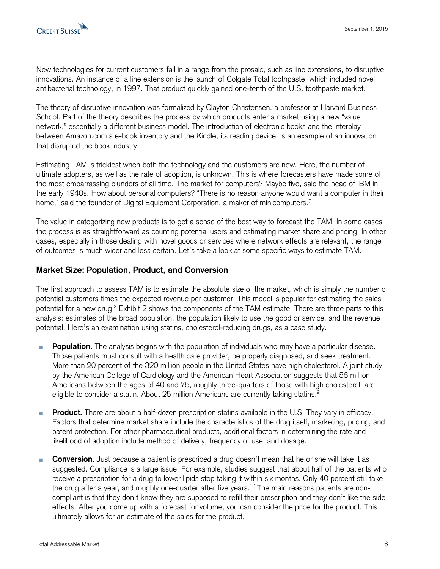

New technologies for current customers fall in a range from the prosaic, such as line extensions, to disruptive innovations. An instance of a line extension is the launch of Colgate Total toothpaste, which included novel antibacterial technology, in 1997. That product quickly gained one-tenth of the U.S. toothpaste market.

The theory of disruptive innovation was formalized by Clayton Christensen, a professor at Harvard Business School. Part of the theory describes the process by which products enter a market using a new "value network," essentially a different business model. The introduction of electronic books and the interplay between Amazon.com's e-book inventory and the Kindle, its reading device, is an example of an innovation that disrupted the book industry.

Estimating TAM is trickiest when both the technology and the customers are new. Here, the number of ultimate adopters, as well as the rate of adoption, is unknown. This is where forecasters have made some of the most embarrassing blunders of all time. The market for computers? Maybe five, said the head of IBM in the early 1940s. How about personal computers? "There is no reason anyone would want a computer in their home," said the founder of Digital Equipment Corporation, a maker of minicomputers.<sup>7</sup>

The value in categorizing new products is to get a sense of the best way to forecast the TAM. In some cases the process is as straightforward as counting potential users and estimating market share and pricing. In other cases, especially in those dealing with novel goods or services where network effects are relevant, the range of outcomes is much wider and less certain. Let's take a look at some specific ways to estimate TAM.

# **Market Size: Population, Product, and Conversion**

The first approach to assess TAM is to estimate the absolute size of the market, which is simply the number of potential customers times the expected revenue per customer. This model is popular for estimating the sales potential for a new drug.<sup>8</sup> Exhibit 2 shows the components of the TAM estimate. There are three parts to this analysis: estimates of the broad population, the population likely to use the good or service, and the revenue potential. Here's an examination using statins, cholesterol-reducing drugs, as a case study.

- **Population.** The analysis begins with the population of individuals who may have a particular disease. Those patients must consult with a health care provider, be properly diagnosed, and seek treatment. More than 20 percent of the 320 million people in the United States have high cholesterol. A joint study by the American College of Cardiology and the American Heart Association suggests that 56 million Americans between the ages of 40 and 75, roughly three-quarters of those with high cholesterol, are eligible to consider a statin. About 25 million Americans are currently taking statins.<sup>9</sup>
- **Product.** There are about a half-dozen prescription statins available in the U.S. They vary in efficacy. Factors that determine market share include the characteristics of the drug itself, marketing, pricing, and patent protection. For other pharmaceutical products, additional factors in determining the rate and likelihood of adoption include method of delivery, frequency of use, and dosage.
- **Conversion.** Just because a patient is prescribed a drug doesn't mean that he or she will take it as H suggested. Compliance is a large issue. For example, studies suggest that about half of the patients who receive a prescription for a drug to lower lipids stop taking it within six months. Only 40 percent still take the drug after a year, and roughly one-quarter after five years.<sup>10</sup> The main reasons patients are noncompliant is that they don't know they are supposed to refill their prescription and they don't like the side effects. After you come up with a forecast for volume, you can consider the price for the product. This ultimately allows for an estimate of the sales for the product.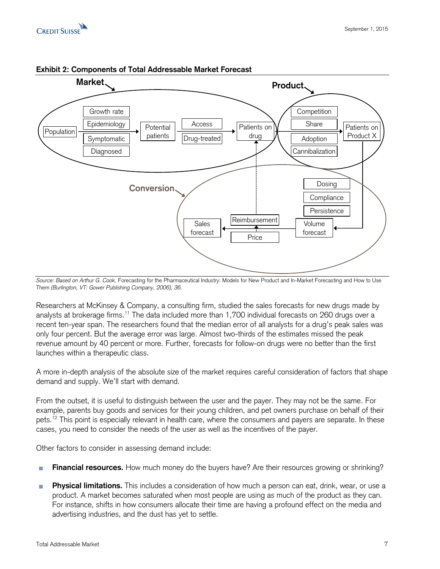



#### **Exhibit 2: Components of Total Addressable Market Forecast**

*Source: Based on Arthur G. Cook,* Forecasting for the Pharmaceutical Industry: Models for New Product and In-Market Forecasting and How to Use Them *(Burlington, VT: Gower Publishing Company, 2006), 36.* 

Researchers at McKinsey & Company, a consulting firm, studied the sales forecasts for new drugs made by analysts at brokerage firms. <sup>11</sup> The data included more than 1,700 individual forecasts on 260 drugs over a recent ten-year span. The researchers found that the median error of all analysts for a drug's peak sales was only four percent. But the average error was large. Almost two-thirds of the estimates missed the peak revenue amount by 40 percent or more. Further, forecasts for follow-on drugs were no better than the first launches within a therapeutic class.

A more in-depth analysis of the absolute size of the market requires careful consideration of factors that shape demand and supply. We'll start with demand.

From the outset, it is useful to distinguish between the user and the payer. They may not be the same. For example, parents buy goods and services for their young children, and pet owners purchase on behalf of their pets.<sup>12</sup> This point is especially relevant in health care, where the consumers and payers are separate. In these cases, you need to consider the needs of the user as well as the incentives of the payer.

Other factors to consider in assessing demand include:

- **Financial resources.** How much money do the buyers have? Are their resources growing or shrinking?
- **Physical limitations.** This includes a consideration of how much a person can eat, drink, wear, or use a п product. A market becomes saturated when most people are using as much of the product as they can. For instance, shifts in how consumers allocate their time are having a profound effect on the media and advertising industries, and the dust has yet to settle.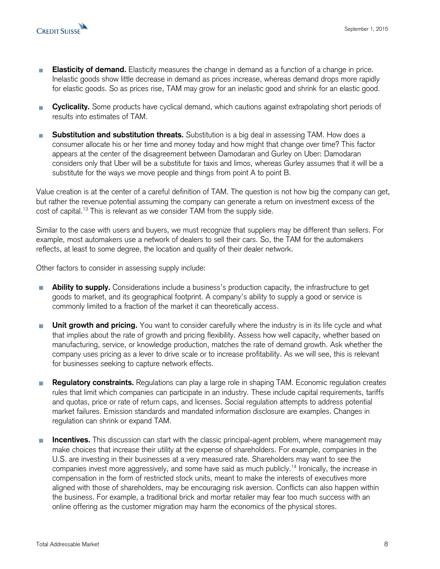

- **Elasticity of demand.** Elasticity measures the change in demand as a function of a change in price. Inelastic goods show little decrease in demand as prices increase, whereas demand drops more rapidly for elastic goods. So as prices rise, TAM may grow for an inelastic good and shrink for an elastic good.
- **Cyclicality.** Some products have cyclical demand, which cautions against extrapolating short periods of H results into estimates of TAM.
- **Substitution and substitution threats.** Substitution is a big deal in assessing TAM. How does a consumer allocate his or her time and money today and how might that change over time? This factor appears at the center of the disagreement between Damodaran and Gurley on Uber: Damodaran considers only that Uber will be a substitute for taxis and limos, whereas Gurley assumes that it will be a substitute for the ways we move people and things from point A to point B.

Value creation is at the center of a careful definition of TAM. The question is not how big the company can get, but rather the revenue potential assuming the company can generate a return on investment excess of the cost of capital.<sup>13</sup> This is relevant as we consider TAM from the supply side.

Similar to the case with users and buyers, we must recognize that suppliers may be different than sellers. For example, most automakers use a network of dealers to sell their cars. So, the TAM for the automakers reflects, at least to some degree, the location and quality of their dealer network.

Other factors to consider in assessing supply include:

- **Ability to supply.** Considerations include a business's production capacity, the infrastructure to get goods to market, and its geographical footprint. A company's ability to supply a good or service is commonly limited to a fraction of the market it can theoretically access.
- **Unit growth and pricing.** You want to consider carefully where the industry is in its life cycle and what T. that implies about the rate of growth and pricing flexibility. Assess how well capacity, whether based on manufacturing, service, or knowledge production, matches the rate of demand growth. Ask whether the company uses pricing as a lever to drive scale or to increase profitability. As we will see, this is relevant for businesses seeking to capture network effects.
- **Regulatory constraints.** Regulations can play a large role in shaping TAM. Economic regulation creates m, rules that limit which companies can participate in an industry. These include capital requirements, tariffs and quotas, price or rate of return caps, and licenses. Social regulation attempts to address potential market failures. Emission standards and mandated information disclosure are examples. Changes in regulation can shrink or expand TAM.
- **Incentives.** This discussion can start with the classic principal-agent problem, where management may T. make choices that increase their utility at the expense of shareholders. For example, companies in the U.S. are investing in their businesses at a very measured rate. Shareholders may want to see the companies invest more aggressively, and some have said as much publicly. <sup>14</sup> Ironically, the increase in compensation in the form of restricted stock units, meant to make the interests of executives more aligned with those of shareholders, may be encouraging risk aversion. Conflicts can also happen within the business. For example, a traditional brick and mortar retailer may fear too much success with an online offering as the customer migration may harm the economics of the physical stores.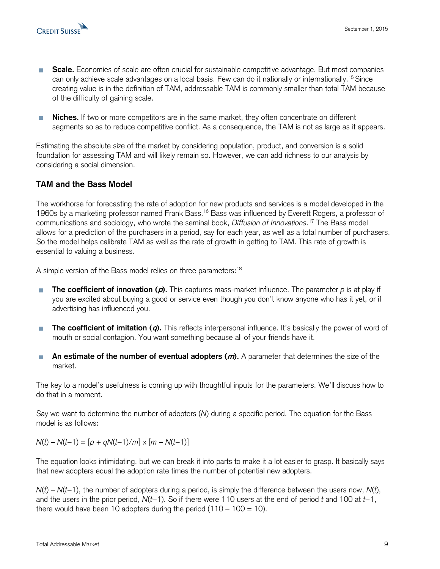

- **Scale.** Economies of scale are often crucial for sustainable competitive advantage. But most companies can only achieve scale advantages on a local basis. Few can do it nationally or internationally.<sup>15</sup> Since creating value is in the definition of TAM, addressable TAM is commonly smaller than total TAM because of the difficulty of gaining scale.
- **Niches.** If two or more competitors are in the same market, they often concentrate on different segments so as to reduce competitive conflict. As a consequence, the TAM is not as large as it appears.

Estimating the absolute size of the market by considering population, product, and conversion is a solid foundation for assessing TAM and will likely remain so. However, we can add richness to our analysis by considering a social dimension.

# **TAM and the Bass Model**

The workhorse for forecasting the rate of adoption for new products and services is a model developed in the 1960s by a marketing professor named Frank Bass.<sup>16</sup> Bass was influenced by Everett Rogers, a professor of communications and sociology, who wrote the seminal book, *Diffusion of Innovations*. <sup>17</sup> The Bass model allows for a prediction of the purchasers in a period, say for each year, as well as a total number of purchasers. So the model helps calibrate TAM as well as the rate of growth in getting to TAM. This rate of growth is essential to valuing a business.

A simple version of the Bass model relies on three parameters:<sup>18</sup>

- **The coefficient of innovation (p).** This captures mass-market influence. The parameter *p* is at play if you are excited about buying a good or service even though you don't know anyone who has it yet, or if advertising has influenced you.
- **The coefficient of imitation (q).** This reflects interpersonal influence. It's basically the power of word of mouth or social contagion. You want something because all of your friends have it.
- **An estimate of the number of eventual adopters (m).** A parameter that determines the size of the market.

The key to a model's usefulness is coming up with thoughtful inputs for the parameters. We'll discuss how to do that in a moment.

Say we want to determine the number of adopters (*N*) during a specific period. The equation for the Bass model is as follows:

*N*(*t*) – *N*(*t*−1) =  $[p + qN(t-1)/m] \times [m - N(t-1)]$ 

The equation looks intimidating, but we can break it into parts to make it a lot easier to grasp. It basically says that new adopters equal the adoption rate times the number of potential new adopters.

*N*(*t*) – *N*(*t*−1), the number of adopters during a period, is simply the difference between the users now, *N*(*t*), and the users in the prior period, *N*(*t*−1). So if there were 110 users at the end of period *t* and 100 at *t*−1, there would have been 10 adopters during the period  $(110 - 100 = 10)$ .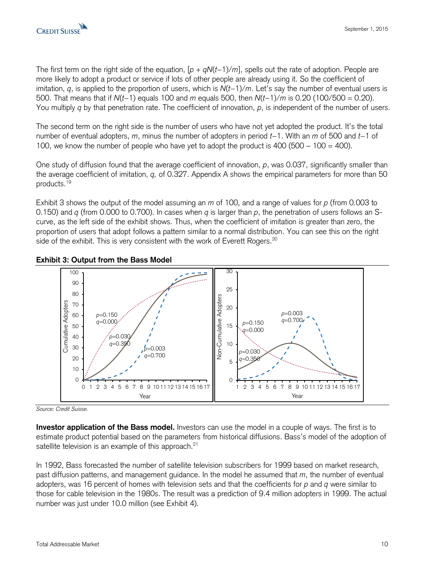

The first term on the right side of the equation, [*p* + *qN*(*t*−1)/*m*], spells out the rate of adoption. People are more likely to adopt a product or service if lots of other people are already using it. So the coefficient of imitation, *q*, is applied to the proportion of users, which is *N*(*t*−1)/*m*. Let's say the number of eventual users is 500. That means that if *N*(*t*−1) equals 100 and *m* equals 500, then *N*(*t*−1)/*m* is 0.20 (100/500 = 0.20). You multiply *q* by that penetration rate. The coefficient of innovation, *p*, is independent of the number of users.

The second term on the right side is the number of users who have not yet adopted the product. It's the total number of eventual adopters, *m*, minus the number of adopters in period *t*−1. With an *m* of 500 and *t*−1 of 100, we know the number of people who have yet to adopt the product is  $400 (500 - 100 = 400)$ .

One study of diffusion found that the average coefficient of innovation, *p*, was 0.037, significantly smaller than the average coefficient of imitation, *q,* of 0.327. Appendix A shows the empirical parameters for more than 50 products.<sup>19</sup>

Exhibit 3 shows the output of the model assuming an *m* of 100, and a range of values for *p* (from 0.003 to 0.150) and *q* (from 0.000 to 0.700). In cases when *q* is larger than *p*, the penetration of users follows an Scurve, as the left side of the exhibit shows. Thus, when the coefficient of imitation is greater than zero, the proportion of users that adopt follows a pattern similar to a normal distribution. You can see this on the right side of the exhibit. This is very consistent with the work of Everett Rogers.<sup>20</sup>



#### **Exhibit 3: Output from the Bass Model**

*Source: Credit Suisse.* 

**Investor application of the Bass model.** Investors can use the model in a couple of ways. The first is to estimate product potential based on the parameters from historical diffusions. Bass's model of the adoption of satellite television is an example of this approach.<sup>21</sup>

In 1992, Bass forecasted the number of satellite television subscribers for 1999 based on market research, past diffusion patterns, and management guidance. In the model he assumed that *m*, the number of eventual adopters, was 16 percent of homes with television sets and that the coefficients for *p* and *q* were similar to those for cable television in the 1980s. The result was a prediction of 9.4 million adopters in 1999. The actual number was just under 10.0 million (see Exhibit 4).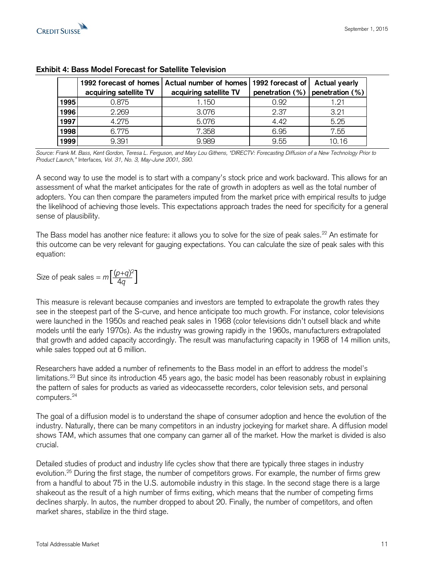

|      | 1992 forecast of homes | Actual number of homes | 1992 forecast of | Actual yearly                         |
|------|------------------------|------------------------|------------------|---------------------------------------|
|      | acquiring satellite TV | acquiring satellite TV |                  | penetration $(\%)$ penetration $(\%)$ |
| 1995 | 0.875                  | 1.150                  | 0.92             | 1.21                                  |
| 1996 | 2.269                  | 3.076                  | 2.37             | 3.21                                  |
| 1997 | 4.275                  | 5.076                  | 4.42             | 5.25                                  |
| 1998 | 6.775                  | 7.358                  | 6.95             | 7.55                                  |
| 1999 | 9.391                  | 9.989                  | 9.55             | 10.16                                 |

#### **Exhibit 4: Bass Model Forecast for Satellite Television**

*Source: Frank M. Bass, Kent Gordon, Teresa L. Ferguson, and Mary Lou Githens, "DIRECTV: Forecasting Diffusion of a New Technology Prior to Product Launch,"* Interfaces*, Vol. 31, No. 3, May-June 2001, S90.*

A second way to use the model is to start with a company's stock price and work backward. This allows for an assessment of what the market anticipates for the rate of growth in adopters as well as the total number of adopters. You can then compare the parameters imputed from the market price with empirical results to judge the likelihood of achieving those levels. This expectations approach trades the need for specificity for a general sense of plausibility.

The Bass model has another nice feature: it allows you to solve for the size of peak sales.<sup>22</sup> An estimate for this outcome can be very relevant for gauging expectations. You can calculate the size of peak sales with this equation:

Size of peak sales = 
$$
m \left[ \frac{(p+q)^2}{4q} \right]
$$

This measure is relevant because companies and investors are tempted to extrapolate the growth rates they see in the steepest part of the S-curve, and hence anticipate too much growth. For instance, color televisions were launched in the 1950s and reached peak sales in 1968 (color televisions didn't outsell black and white models until the early 1970s). As the industry was growing rapidly in the 1960s, manufacturers extrapolated that growth and added capacity accordingly. The result was manufacturing capacity in 1968 of 14 million units, while sales topped out at 6 million.

Researchers have added a number of refinements to the Bass model in an effort to address the model's limitations.<sup>23</sup> But since its introduction 45 years ago, the basic model has been reasonably robust in explaining the pattern of sales for products as varied as videocassette recorders, color television sets, and personal computers.<sup>24</sup>

The goal of a diffusion model is to understand the shape of consumer adoption and hence the evolution of the industry. Naturally, there can be many competitors in an industry jockeying for market share. A diffusion model shows TAM, which assumes that one company can garner all of the market. How the market is divided is also crucial.

Detailed studies of product and industry life cycles show that there are typically three stages in industry evolution.<sup>25</sup> During the first stage, the number of competitors grows. For example, the number of firms grew from a handful to about 75 in the U.S. automobile industry in this stage. In the second stage there is a large shakeout as the result of a high number of firms exiting, which means that the number of competing firms declines sharply. In autos, the number dropped to about 20. Finally, the number of competitors, and often market shares, stabilize in the third stage.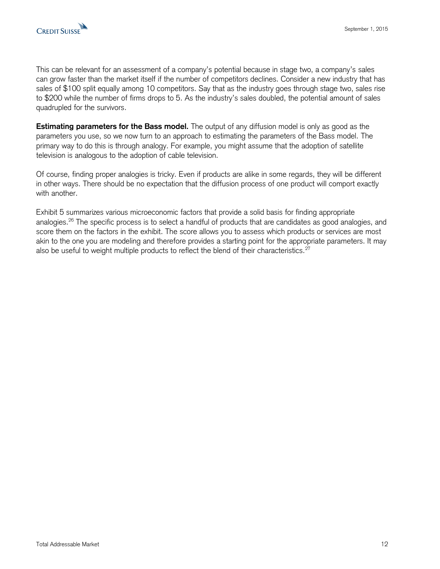

This can be relevant for an assessment of a company's potential because in stage two, a company's sales can grow faster than the market itself if the number of competitors declines. Consider a new industry that has sales of \$100 split equally among 10 competitors. Say that as the industry goes through stage two, sales rise to \$200 while the number of firms drops to 5. As the industry's sales doubled, the potential amount of sales quadrupled for the survivors.

**Estimating parameters for the Bass model.** The output of any diffusion model is only as good as the parameters you use, so we now turn to an approach to estimating the parameters of the Bass model. The primary way to do this is through analogy. For example, you might assume that the adoption of satellite television is analogous to the adoption of cable television.

Of course, finding proper analogies is tricky. Even if products are alike in some regards, they will be different in other ways. There should be no expectation that the diffusion process of one product will comport exactly with another.

Exhibit 5 summarizes various microeconomic factors that provide a solid basis for finding appropriate analogies.<sup>26</sup> The specific process is to select a handful of products that are candidates as good analogies, and score them on the factors in the exhibit. The score allows you to assess which products or services are most akin to the one you are modeling and therefore provides a starting point for the appropriate parameters. It may also be useful to weight multiple products to reflect the blend of their characteristics.<sup>27</sup>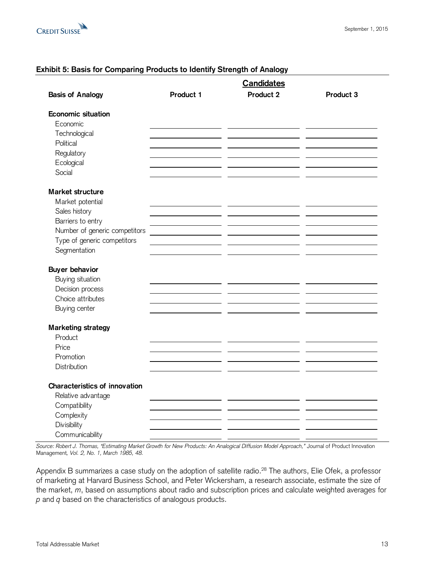

# **Exhibit 5: Basis for Comparing Products to Identify Strength of Analogy**

|                               |           | <b>Candidates</b> |           |
|-------------------------------|-----------|-------------------|-----------|
| <b>Basis of Analogy</b>       | Product 1 | Product 2         | Product 3 |
| <b>Economic situation</b>     |           |                   |           |
| Economic                      |           |                   |           |
| Technological<br>Political    |           |                   |           |
| Regulatory                    |           |                   |           |
| Ecological                    |           |                   |           |
| Social                        |           |                   |           |
| <b>Market structure</b>       |           |                   |           |
| Market potential              |           |                   |           |
| Sales history                 |           |                   |           |
| Barriers to entry             |           |                   |           |
| Number of generic competitors |           |                   |           |
| Type of generic competitors   |           |                   |           |
| Segmentation                  |           |                   |           |
| <b>Buyer behavior</b>         |           |                   |           |
| Buying situation              |           |                   |           |
| Decision process              |           |                   |           |
| Choice attributes             |           |                   |           |
| Buying center                 |           |                   |           |
| <b>Marketing strategy</b>     |           |                   |           |
| Product                       |           |                   |           |
| Price                         |           |                   |           |
| Promotion                     |           |                   |           |
| Distribution                  |           |                   |           |
|                               |           |                   |           |
| Characteristics of innovation |           |                   |           |
| Relative advantage            |           |                   |           |
| Compatibility                 |           |                   |           |
| Complexity<br>Divisibility    |           |                   |           |
| Communicability               |           |                   |           |

*Source: Robert J. Thomas, "Estimating Market Growth for New Products: An Analogical Diffusion Model Approach,"* Journal of Product Innovation Management*, Vol. 2, No. 1, March 1985, 48.*

Appendix B summarizes a case study on the adoption of satellite radio.<sup>28</sup> The authors, Elie Ofek, a professor of marketing at Harvard Business School, and Peter Wickersham, a research associate, estimate the size of the market, *m*, based on assumptions about radio and subscription prices and calculate weighted averages for *p* and *q* based on the characteristics of analogous products.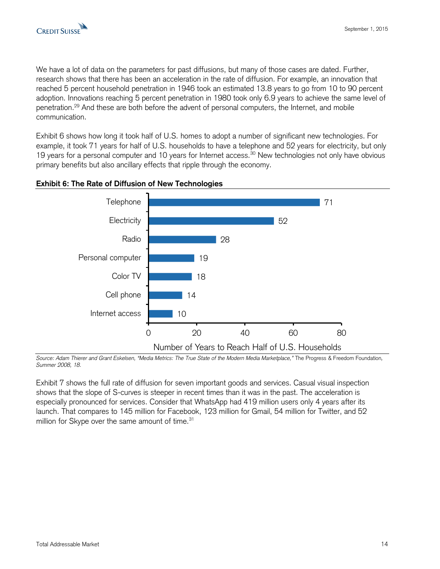

We have a lot of data on the parameters for past diffusions, but many of those cases are dated. Further, research shows that there has been an acceleration in the rate of diffusion. For example, an innovation that reached 5 percent household penetration in 1946 took an estimated 13.8 years to go from 10 to 90 percent adoption. Innovations reaching 5 percent penetration in 1980 took only 6.9 years to achieve the same level of penetration.<sup>29</sup> And these are both before the advent of personal computers, the Internet, and mobile communication.

Exhibit 6 shows how long it took half of U.S. homes to adopt a number of significant new technologies. For example, it took 71 years for half of U.S. households to have a telephone and 52 years for electricity, but only 19 years for a personal computer and 10 years for Internet access.<sup>30</sup> New technologies not only have obvious primary benefits but also ancillary effects that ripple through the economy.





*Source: Adam Thierer and Grant Eskelsen, "Media Metrics: The True State of the Modern Media Marketplace,"* The Progress & Freedom Foundation*, Summer 2008, 18.*

Exhibit 7 shows the full rate of diffusion for seven important goods and services. Casual visual inspection shows that the slope of S-curves is steeper in recent times than it was in the past. The acceleration is especially pronounced for services. Consider that WhatsApp had 419 million users only 4 years after its launch. That compares to 145 million for Facebook, 123 million for Gmail, 54 million for Twitter, and 52 million for Skype over the same amount of time.<sup>31</sup>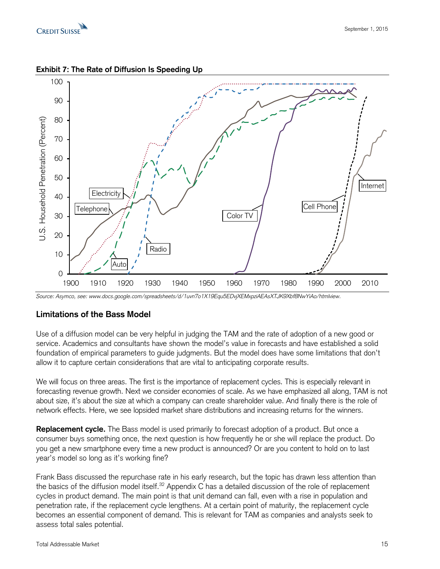



# **Exhibit 7: The Rate of Diffusion Is Speeding Up**

*Source: Asymco, see: www.docs.google.com/spreadsheets/d/1uvn7o1X19Equ5EDvjXEMxpziAEAsXTJK9Xbf8NwYiAo/htmlview.*

# **Limitations of the Bass Model**

Use of a diffusion model can be very helpful in judging the TAM and the rate of adoption of a new good or service. Academics and consultants have shown the model's value in forecasts and have established a solid foundation of empirical parameters to guide judgments. But the model does have some limitations that don't allow it to capture certain considerations that are vital to anticipating corporate results.

We will focus on three areas. The first is the importance of replacement cycles. This is especially relevant in forecasting revenue growth. Next we consider economies of scale. As we have emphasized all along, TAM is not about size, it's about the size at which a company can create shareholder value. And finally there is the role of network effects. Here, we see lopsided market share distributions and increasing returns for the winners.

**Replacement cycle.** The Bass model is used primarily to forecast adoption of a product. But once a consumer buys something once, the next question is how frequently he or she will replace the product. Do you get a new smartphone every time a new product is announced? Or are you content to hold on to last year's model so long as it's working fine?

Frank Bass discussed the repurchase rate in his early research, but the topic has drawn less attention than the basics of the diffusion model itself.<sup>32</sup> Appendix C has a detailed discussion of the role of replacement cycles in product demand. The main point is that unit demand can fall, even with a rise in population and penetration rate, if the replacement cycle lengthens. At a certain point of maturity, the replacement cycle becomes an essential component of demand. This is relevant for TAM as companies and analysts seek to assess total sales potential.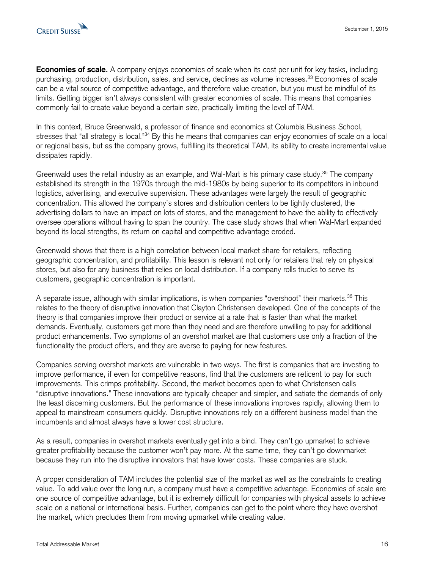

**Economies of scale.** A company enjoys economies of scale when its cost per unit for key tasks, including purchasing, production, distribution, sales, and service, declines as volume increases.<sup>33</sup> Economies of scale can be a vital source of competitive advantage, and therefore value creation, but you must be mindful of its limits. Getting bigger isn't always consistent with greater economies of scale. This means that companies commonly fail to create value beyond a certain size, practically limiting the level of TAM.

In this context, Bruce Greenwald, a professor of finance and economics at Columbia Business School, stresses that "all strategy is local."<sup>34</sup> By this he means that companies can enjoy economies of scale on a local or regional basis, but as the company grows, fulfilling its theoretical TAM, its ability to create incremental value dissipates rapidly.

Greenwald uses the retail industry as an example, and Wal-Mart is his primary case study.<sup>35</sup> The company established its strength in the 1970s through the mid-1980s by being superior to its competitors in inbound logistics, advertising, and executive supervision. These advantages were largely the result of geographic concentration. This allowed the company's stores and distribution centers to be tightly clustered, the advertising dollars to have an impact on lots of stores, and the management to have the ability to effectively oversee operations without having to span the country. The case study shows that when Wal-Mart expanded beyond its local strengths, its return on capital and competitive advantage eroded.

Greenwald shows that there is a high correlation between local market share for retailers, reflecting geographic concentration, and profitability. This lesson is relevant not only for retailers that rely on physical stores, but also for any business that relies on local distribution. If a company rolls trucks to serve its customers, geographic concentration is important.

A separate issue, although with similar implications, is when companies "overshoot" their markets.<sup>36</sup> This relates to the theory of disruptive innovation that Clayton Christensen developed. One of the concepts of the theory is that companies improve their product or service at a rate that is faster than what the market demands. Eventually, customers get more than they need and are therefore unwilling to pay for additional product enhancements. Two symptoms of an overshot market are that customers use only a fraction of the functionality the product offers, and they are averse to paying for new features.

Companies serving overshot markets are vulnerable in two ways. The first is companies that are investing to improve performance, if even for competitive reasons, find that the customers are reticent to pay for such improvements. This crimps profitability. Second, the market becomes open to what Christensen calls "disruptive innovations." These innovations are typically cheaper and simpler, and satiate the demands of only the least discerning customers. But the performance of these innovations improves rapidly, allowing them to appeal to mainstream consumers quickly. Disruptive innovations rely on a different business model than the incumbents and almost always have a lower cost structure.

As a result, companies in overshot markets eventually get into a bind. They can't go upmarket to achieve greater profitability because the customer won't pay more. At the same time, they can't go downmarket because they run into the disruptive innovators that have lower costs. These companies are stuck.

A proper consideration of TAM includes the potential size of the market as well as the constraints to creating value. To add value over the long run, a company must have a competitive advantage. Economies of scale are one source of competitive advantage, but it is extremely difficult for companies with physical assets to achieve scale on a national or international basis. Further, companies can get to the point where they have overshot the market, which precludes them from moving upmarket while creating value.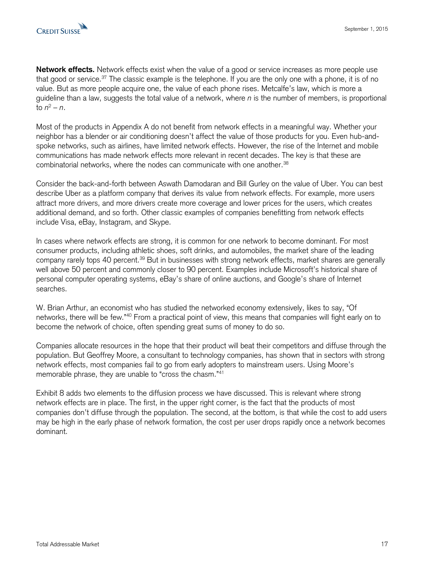

**Network effects.** Network effects exist when the value of a good or service increases as more people use that good or service.<sup>37</sup> The classic example is the telephone. If you are the only one with a phone, it is of no value. But as more people acquire one, the value of each phone rises. Metcalfe's law, which is more a guideline than a law, suggests the total value of a network, where *n* is the number of members, is proportional to *n* <sup>2</sup> – *n*.

Most of the products in Appendix A do not benefit from network effects in a meaningful way. Whether your neighbor has a blender or air conditioning doesn't affect the value of those products for you. Even hub-andspoke networks, such as airlines, have limited network effects. However, the rise of the Internet and mobile communications has made network effects more relevant in recent decades. The key is that these are combinatorial networks, where the nodes can communicate with one another.<sup>38</sup>

Consider the back-and-forth between Aswath Damodaran and Bill Gurley on the value of Uber. You can best describe Uber as a platform company that derives its value from network effects. For example, more users attract more drivers, and more drivers create more coverage and lower prices for the users, which creates additional demand, and so forth. Other classic examples of companies benefitting from network effects include Visa, eBay, Instagram, and Skype.

In cases where network effects are strong, it is common for one network to become dominant. For most consumer products, including athletic shoes, soft drinks, and automobiles, the market share of the leading company rarely tops 40 percent.<sup>39</sup> But in businesses with strong network effects, market shares are generally well above 50 percent and commonly closer to 90 percent. Examples include Microsoft's historical share of personal computer operating systems, eBay's share of online auctions, and Google's share of Internet searches.

W. Brian Arthur, an economist who has studied the networked economy extensively, likes to say, "Of networks, there will be few."<sup>40</sup> From a practical point of view, this means that companies will fight early on to become the network of choice, often spending great sums of money to do so.

Companies allocate resources in the hope that their product will beat their competitors and diffuse through the population. But Geoffrey Moore, a consultant to technology companies, has shown that in sectors with strong network effects, most companies fail to go from early adopters to mainstream users. Using Moore's memorable phrase, they are unable to "cross the chasm."<sup>41</sup>

Exhibit 8 adds two elements to the diffusion process we have discussed. This is relevant where strong network effects are in place. The first, in the upper right corner, is the fact that the products of most companies don't diffuse through the population. The second, at the bottom, is that while the cost to add users may be high in the early phase of network formation, the cost per user drops rapidly once a network becomes dominant.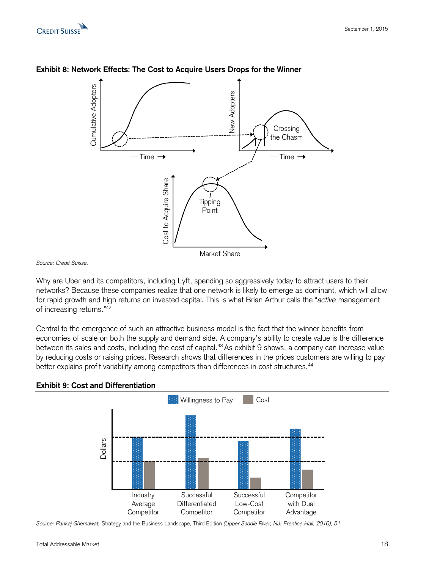



#### **Exhibit 8: Network Effects: The Cost to Acquire Users Drops for the Winner**

*Source: Credit Suisse.*

Why are Uber and its competitors, including Lyft, spending so aggressively today to attract users to their networks? Because these companies realize that one network is likely to emerge as dominant, which will allow for rapid growth and high returns on invested capital. This is what Brian Arthur calls the "*active* management of increasing returns."<sup>42</sup>

Central to the emergence of such an attractive business model is the fact that the winner benefits from economies of scale on both the supply and demand side. A company's ability to create value is the difference between its sales and costs, including the cost of capital. <sup>43</sup>As exhibit 9 shows, a company can increase value by reducing costs or raising prices. Research shows that differences in the prices customers are willing to pay better explains profit variability among competitors than differences in cost structures.<sup>44</sup>



#### **Exhibit 9: Cost and Differentiation**

*Source: Pankaj Ghemawat,* Strategy and the Business Landscape, Third Edition *(Upper Saddle River, NJ: Prentice Hall, 2010), 51.*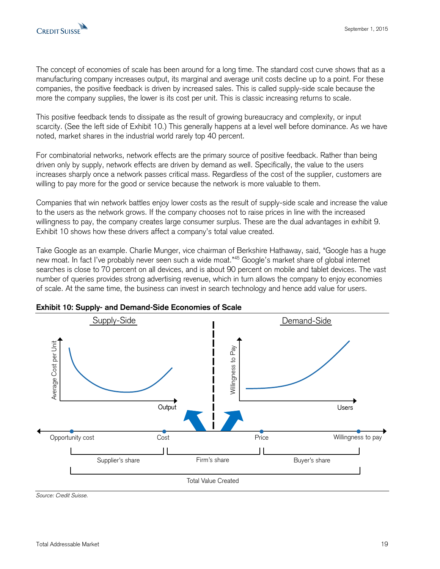

The concept of economies of scale has been around for a long time. The standard cost curve shows that as a manufacturing company increases output, its marginal and average unit costs decline up to a point. For these companies, the positive feedback is driven by increased sales. This is called supply-side scale because the more the company supplies, the lower is its cost per unit. This is classic increasing returns to scale.

This positive feedback tends to dissipate as the result of growing bureaucracy and complexity, or input scarcity. (See the left side of Exhibit 10.) This generally happens at a level well before dominance. As we have noted, market shares in the industrial world rarely top 40 percent.

For combinatorial networks, network effects are the primary source of positive feedback. Rather than being driven only by supply, network effects are driven by demand as well. Specifically, the value to the users increases sharply once a network passes critical mass. Regardless of the cost of the supplier, customers are willing to pay more for the good or service because the network is more valuable to them.

Companies that win network battles enjoy lower costs as the result of supply-side scale and increase the value to the users as the network grows. If the company chooses not to raise prices in line with the increased willingness to pay, the company creates large consumer surplus. These are the dual advantages in exhibit 9. Exhibit 10 shows how these drivers affect a company's total value created.

Take Google as an example. Charlie Munger, vice chairman of Berkshire Hathaway, said, "Google has a huge new moat. In fact I've probably never seen such a wide moat."<sup>45</sup> Google's market share of global internet searches is close to 70 percent on all devices, and is about 90 percent on mobile and tablet devices. The vast number of queries provides strong advertising revenue, which in turn allows the company to enjoy economies of scale. At the same time, the business can invest in search technology and hence add value for users.





*Source: Credit Suisse.*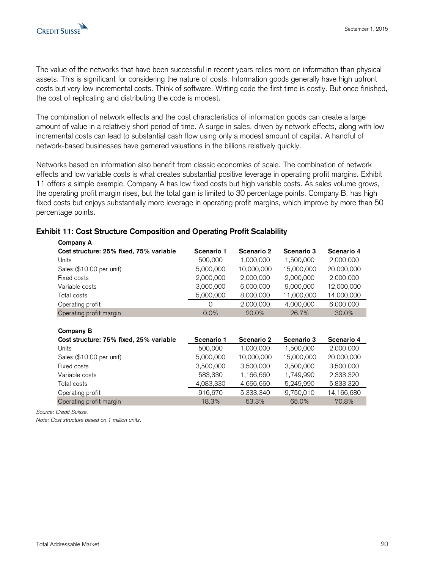The value of the networks that have been successful in recent years relies more on information than physical assets. This is significant for considering the nature of costs. Information goods generally have high upfront costs but very low incremental costs. Think of software. Writing code the first time is costly. But once finished, the cost of replicating and distributing the code is modest.

The combination of network effects and the cost characteristics of information goods can create a large amount of value in a relatively short period of time. A surge in sales, driven by network effects, along with low incremental costs can lead to substantial cash flow using only a modest amount of capital. A handful of network-based businesses have garnered valuations in the billions relatively quickly.

Networks based on information also benefit from classic economies of scale. The combination of network effects and low variable costs is what creates substantial positive leverage in operating profit margins. Exhibit 11 offers a simple example. Company A has low fixed costs but high variable costs. As sales volume grows, the operating profit margin rises, but the total gain is limited to 30 percentage points. Company B, has high fixed costs but enjoys substantially more leverage in operating profit margins, which improve by more than 50 percentage points.

| Company A                                                   |            |            |            |            |
|-------------------------------------------------------------|------------|------------|------------|------------|
| Cost structure: 25% fixed, 75% variable                     | Scenario 1 | Scenario 2 | Scenario 3 | Scenario 4 |
| Units                                                       | 500,000    | 1,000,000  | 1,500,000  | 2,000,000  |
| Sales (\$10.00 per unit)                                    | 5,000,000  | 10,000,000 | 15,000,000 | 20,000,000 |
| Fixed costs                                                 | 2,000,000  | 2,000,000  | 2,000,000  | 2,000,000  |
| Variable costs                                              | 3,000,000  | 6,000,000  | 9,000,000  | 12,000,000 |
| Total costs                                                 | 5,000,000  | 8,000,000  | 11,000,000 | 14,000,000 |
| Operating profit                                            | $\Omega$   | 2,000,000  | 4,000,000  | 6,000,000  |
| Operating profit margin                                     | 0.0%       | 20.0%      | 26.7%      | 30.0%      |
| <b>Company B</b><br>Cost structure: 75% fixed, 25% variable | Scenario 1 | Scenario 2 | Scenario 3 | Scenario 4 |
|                                                             |            |            |            |            |
| Units                                                       | 500,000    | 1,000,000  | 1,500,000  | 2,000,000  |
| Sales (\$10.00 per unit)                                    | 5,000,000  | 10,000,000 | 15,000,000 | 20,000,000 |
| Fixed costs                                                 | 3,500,000  | 3,500,000  | 3,500,000  | 3,500,000  |
| Variable costs                                              | 583,330    | 1,166,660  | 1,749,990  | 2,333,320  |
| Total costs                                                 | 4,083,330  | 4,666,660  | 5,249,990  | 5,833,320  |
| Operating profit                                            | 916,670    | 5,333,340  | 9,750,010  | 14,166,680 |
| Operating profit margin                                     | 18.3%      | 53.3%      | 65.0%      | 70.8%      |

#### **Exhibit 11: Cost Structure Composition and Operating Profit Scalability**

*Source: Credit Suisse.* 

*Note: Cost structure based on 1 million units.*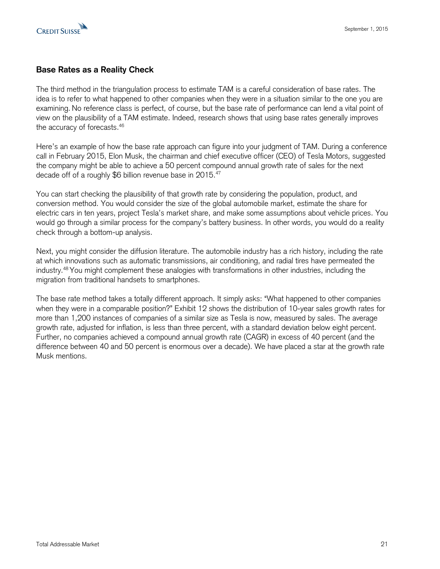

# **Base Rates as a Reality Check**

The third method in the triangulation process to estimate TAM is a careful consideration of base rates. The idea is to refer to what happened to other companies when they were in a situation similar to the one you are examining. No reference class is perfect, of course, but the base rate of performance can lend a vital point of view on the plausibility of a TAM estimate. Indeed, research shows that using base rates generally improves the accuracy of forecasts. 46

Here's an example of how the base rate approach can figure into your judgment of TAM. During a conference call in February 2015, Elon Musk, the chairman and chief executive officer (CEO) of Tesla Motors, suggested the company might be able to achieve a 50 percent compound annual growth rate of sales for the next decade off of a roughly \$6 billion revenue base in 2015.<sup>47</sup>

You can start checking the plausibility of that growth rate by considering the population, product, and conversion method. You would consider the size of the global automobile market, estimate the share for electric cars in ten years, project Tesla's market share, and make some assumptions about vehicle prices. You would go through a similar process for the company's battery business. In other words, you would do a reality check through a bottom-up analysis.

Next, you might consider the diffusion literature. The automobile industry has a rich history, including the rate at which innovations such as automatic transmissions, air conditioning, and radial tires have permeated the industry.<sup>48</sup> You might complement these analogies with transformations in other industries, including the migration from traditional handsets to smartphones.

The base rate method takes a totally different approach. It simply asks: "What happened to other companies when they were in a comparable position?" Exhibit 12 shows the distribution of 10-year sales growth rates for more than 1,200 instances of companies of a similar size as Tesla is now, measured by sales. The average growth rate, adjusted for inflation, is less than three percent, with a standard deviation below eight percent. Further, no companies achieved a compound annual growth rate (CAGR) in excess of 40 percent (and the difference between 40 and 50 percent is enormous over a decade). We have placed a star at the growth rate Musk mentions.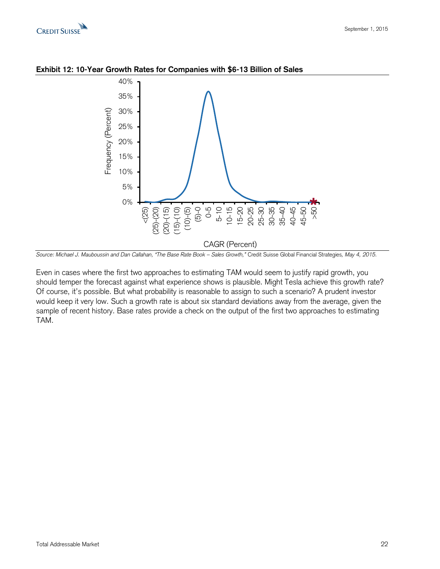



**Exhibit 12: 10-Year Growth Rates for Companies with \$6-13 Billion of Sales**

Even in cases where the first two approaches to estimating TAM would seem to justify rapid growth, you should temper the forecast against what experience shows is plausible. Might Tesla achieve this growth rate? Of course, it's possible. But what probability is reasonable to assign to such a scenario? A prudent investor would keep it very low. Such a growth rate is about six standard deviations away from the average, given the sample of recent history. Base rates provide a check on the output of the first two approaches to estimating TAM.

*Source: Michael J. Mauboussin and Dan Callahan, "The Base Rate Book – Sales Growth,"* Credit Suisse Global Financial Strategies*, May 4, 2015.*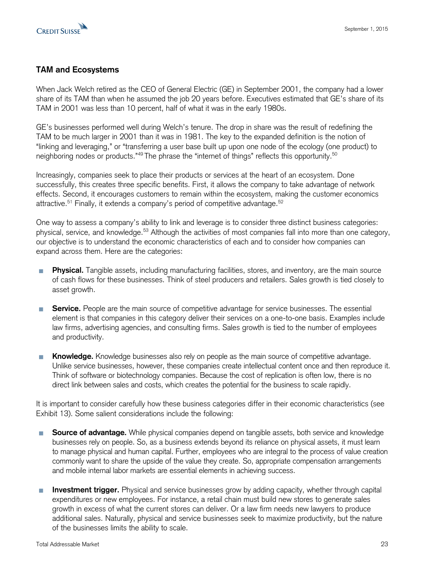

# **TAM and Ecosystems**

When Jack Welch retired as the CEO of General Electric (GE) in September 2001, the company had a lower share of its TAM than when he assumed the job 20 years before. Executives estimated that GE's share of its TAM in 2001 was less than 10 percent, half of what it was in the early 1980s.

GE's businesses performed well during Welch's tenure. The drop in share was the result of redefining the TAM to be much larger in 2001 than it was in 1981. The key to the expanded definition is the notion of "linking and leveraging," or "transferring a user base built up upon one node of the ecology (one product) to neighboring nodes or products."<sup>49</sup> The phrase the "internet of things" reflects this opportunity.<sup>50</sup>

Increasingly, companies seek to place their products or services at the heart of an ecosystem. Done successfully, this creates three specific benefits. First, it allows the company to take advantage of network effects. Second, it encourages customers to remain within the ecosystem, making the customer economics attractive.<sup>51</sup> Finally, it extends a company's period of competitive advantage.<sup>52</sup>

One way to assess a company's ability to link and leverage is to consider three distinct business categories: physical, service, and knowledge.<sup>53</sup> Although the activities of most companies fall into more than one category, our objective is to understand the economic characteristics of each and to consider how companies can expand across them. Here are the categories:

- **Physical.** Tangible assets, including manufacturing facilities, stores, and inventory, are the main source of cash flows for these businesses. Think of steel producers and retailers. Sales growth is tied closely to asset growth.
- **Service.** People are the main source of competitive advantage for service businesses. The essential element is that companies in this category deliver their services on a one-to-one basis. Examples include law firms, advertising agencies, and consulting firms. Sales growth is tied to the number of employees and productivity.
- **Knowledge.** Knowledge businesses also rely on people as the main source of competitive advantage. Unlike service businesses, however, these companies create intellectual content once and then reproduce it. Think of software or biotechnology companies. Because the cost of replication is often low, there is no direct link between sales and costs, which creates the potential for the business to scale rapidly.

It is important to consider carefully how these business categories differ in their economic characteristics (see Exhibit 13). Some salient considerations include the following:

- **Source of advantage.** While physical companies depend on tangible assets, both service and knowledge T. businesses rely on people. So, as a business extends beyond its reliance on physical assets, it must learn to manage physical and human capital. Further, employees who are integral to the process of value creation commonly want to share the upside of the value they create. So, appropriate compensation arrangements and mobile internal labor markets are essential elements in achieving success.
- **Investment trigger.** Physical and service businesses grow by adding capacity, whether through capital P. expenditures or new employees. For instance, a retail chain must build new stores to generate sales growth in excess of what the current stores can deliver. Or a law firm needs new lawyers to produce additional sales. Naturally, physical and service businesses seek to maximize productivity, but the nature of the businesses limits the ability to scale.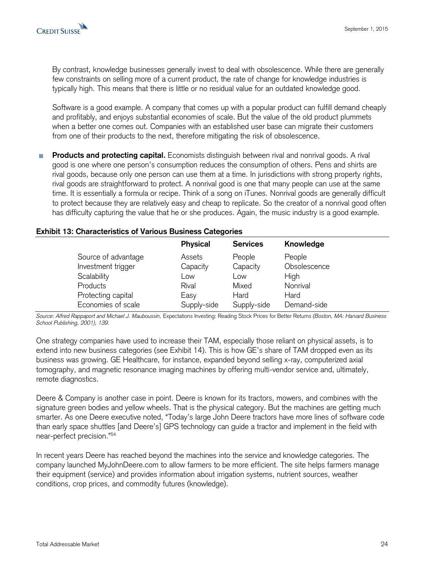

By contrast, knowledge businesses generally invest to deal with obsolescence. While there are generally few constraints on selling more of a current product, the rate of change for knowledge industries is typically high. This means that there is little or no residual value for an outdated knowledge good.

Software is a good example. A company that comes up with a popular product can fulfill demand cheaply and profitably, and enjoys substantial economies of scale. But the value of the old product plummets when a better one comes out. Companies with an established user base can migrate their customers from one of their products to the next, therefore mitigating the risk of obsolescence.

**Products and protecting capital.** Economists distinguish between rival and nonrival goods. A rival П good is one where one person's consumption reduces the consumption of others. Pens and shirts are rival goods, because only one person can use them at a time. In jurisdictions with strong property rights, rival goods are straightforward to protect. A nonrival good is one that many people can use at the same time. It is essentially a formula or recipe. Think of a song on iTunes. Nonrival goods are generally difficult to protect because they are relatively easy and cheap to replicate. So the creator of a nonrival good often has difficulty capturing the value that he or she produces. Again, the music industry is a good example.

#### **Exhibit 13: Characteristics of Various Business Categories**

|                     | <b>Physical</b> | <b>Services</b> | Knowledge    |
|---------------------|-----------------|-----------------|--------------|
| Source of advantage | Assets          | People          | People       |
| Investment trigger  | Capacity        | Capacity        | Obsolescence |
| Scalability         | Low             | Low             | High         |
| Products            | Rival           | Mixed           | Nonrival     |
| Protecting capital  | Easy            | Hard            | Hard         |
| Economies of scale  | Supply-side     | Supply-side     | Demand-side  |

*Source: Alfred Rappaport and Michael J. Mauboussin,* Expectations Investing: Reading Stock Prices for Better Returns *(Boston, MA: Harvard Business School Publishing, 2001), 139.*

One strategy companies have used to increase their TAM, especially those reliant on physical assets, is to extend into new business categories (see Exhibit 14). This is how GE's share of TAM dropped even as its business was growing. GE Healthcare, for instance, expanded beyond selling x-ray, computerized axial tomography, and magnetic resonance imaging machines by offering multi-vendor service and, ultimately, remote diagnostics.

Deere & Company is another case in point. Deere is known for its tractors, mowers, and combines with the signature green bodies and yellow wheels. That is the physical category. But the machines are getting much smarter. As one Deere executive noted, "Today's large John Deere tractors have more lines of software code than early space shuttles [and Deere's] GPS technology can guide a tractor and implement in the field with near-perfect precision."<sup>54</sup>

In recent years Deere has reached beyond the machines into the service and knowledge categories. The company launched MyJohnDeere.com to allow farmers to be more efficient. The site helps farmers manage their equipment (service) and provides information about irrigation systems, nutrient sources, weather conditions, crop prices, and commodity futures (knowledge).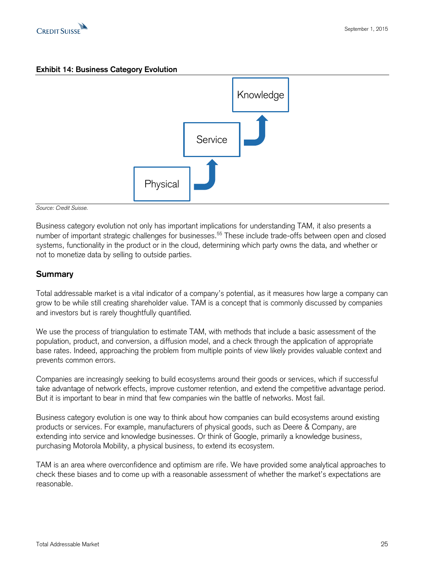

### **Exhibit 14: Business Category Evolution**



*Source: Credit Suisse.* 

Business category evolution not only has important implications for understanding TAM, it also presents a number of important strategic challenges for businesses.<sup>55</sup> These include trade-offs between open and closed systems, functionality in the product or in the cloud, determining which party owns the data, and whether or not to monetize data by selling to outside parties.

# **Summary**

Total addressable market is a vital indicator of a company's potential, as it measures how large a company can grow to be while still creating shareholder value. TAM is a concept that is commonly discussed by companies and investors but is rarely thoughtfully quantified.

We use the process of triangulation to estimate TAM, with methods that include a basic assessment of the population, product, and conversion, a diffusion model, and a check through the application of appropriate base rates. Indeed, approaching the problem from multiple points of view likely provides valuable context and prevents common errors.

Companies are increasingly seeking to build ecosystems around their goods or services, which if successful take advantage of network effects, improve customer retention, and extend the competitive advantage period. But it is important to bear in mind that few companies win the battle of networks. Most fail.

Business category evolution is one way to think about how companies can build ecosystems around existing products or services. For example, manufacturers of physical goods, such as Deere & Company, are extending into service and knowledge businesses. Or think of Google, primarily a knowledge business, purchasing Motorola Mobility, a physical business, to extend its ecosystem.

TAM is an area where overconfidence and optimism are rife. We have provided some analytical approaches to check these biases and to come up with a reasonable assessment of whether the market's expectations are reasonable.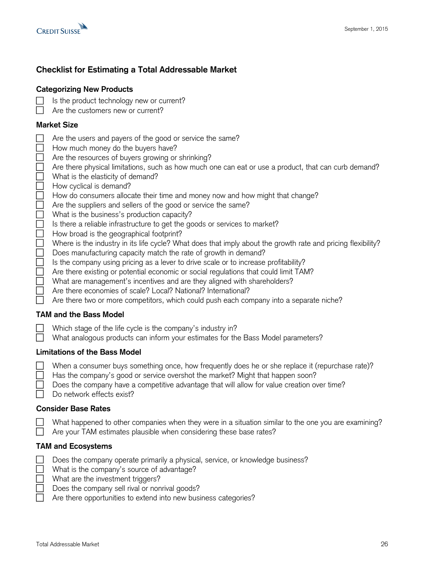



# **Checklist for Estimating a Total Addressable Market**

## **Categorizing New Products**

- Is the product technology new or current?  $\Box$
- $\Box$  Are the customers new or current?

## **Market Size**

| 0000000000 | Are the users and payers of the good or service the same?<br>How much money do the buyers have?<br>Are the resources of buyers growing or shrinking?<br>Are there physical limitations, such as how much one can eat or use a product, that can curb demand?<br>What is the elasticity of demand?<br>How cyclical is demand?<br>How do consumers allocate their time and money now and how might that change?<br>Are the suppliers and sellers of the good or service the same?<br>What is the business's production capacity?<br>Is there a reliable infrastructure to get the goods or services to market?                                        |
|------------|-----------------------------------------------------------------------------------------------------------------------------------------------------------------------------------------------------------------------------------------------------------------------------------------------------------------------------------------------------------------------------------------------------------------------------------------------------------------------------------------------------------------------------------------------------------------------------------------------------------------------------------------------------|
| 00000      | How broad is the geographical footprint?<br>Where is the industry in its life cycle? What does that imply about the growth rate and pricing flexibility?<br>Does manufacturing capacity match the rate of growth in demand?<br>Is the company using pricing as a lever to drive scale or to increase profitability?<br>Are there existing or potential economic or social regulations that could limit TAM?<br>What are management's incentives and are they aligned with shareholders?<br>Are there economies of scale? Local? National? International?<br>Are there two or more competitors, which could push each company into a separate niche? |
|            | <b>TAM and the Bass Model</b>                                                                                                                                                                                                                                                                                                                                                                                                                                                                                                                                                                                                                       |
|            | Which stage of the life cycle is the company's industry in?<br>What analogous products can inform your estimates for the Bass Model parameters?                                                                                                                                                                                                                                                                                                                                                                                                                                                                                                     |
|            | <b>Limitations of the Bass Model</b>                                                                                                                                                                                                                                                                                                                                                                                                                                                                                                                                                                                                                |
|            | When a consumer buys something once, how frequently does he or she replace it (repurchase rate)?<br>Has the company's good or service overshot the market? Might that happen soon?                                                                                                                                                                                                                                                                                                                                                                                                                                                                  |

- Does the company have a competitive advantage that will allow for value creation over time?
- Do network effects exist?

#### **Consider Base Rates**

 $\mathsf{I}$  $\perp$ 

- What happened to other companies when they were in a situation similar to the one you are examining?
- Are your TAM estimates plausible when considering these base rates?

# **TAM and Ecosystems**

| $\Box$ Does the company operate primarily a physical, service, or knowledge business? |
|---------------------------------------------------------------------------------------|
| $\Box$ What is the company's source of advantage?                                     |
| $\Box$ What are the investment triggers?                                              |
| Does the company sell rival or nonrival goods?                                        |
| $\Box$ Are there opportunities to extend into new business categories?                |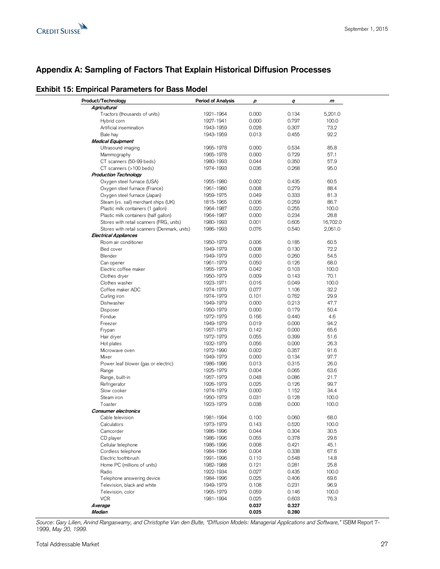

# **Appendix A: Sampling of Factors That Explain Historical Diffusion Processes**

# **Exhibit 15: Empirical Parameters for Bass Model**

| Product/Technology                           | Period of Analysis | р     | q     | m        |
|----------------------------------------------|--------------------|-------|-------|----------|
| Agricultural                                 |                    |       |       |          |
| Tractors (thousands of units)                | 1921-1964          | 0.000 | 0.134 | 5,201.0  |
| Hybrid corn                                  | 1927-1941          | 0.000 | 0.797 | 100.0    |
| Artificial insemination                      | 1943-1959          | 0.028 | 0.307 | 73.2     |
| Bale hay                                     | 1943-1959          | 0.013 | 0.455 | 92.2     |
| <b>Medical Equipment</b>                     |                    |       |       |          |
|                                              |                    | 0.000 | 0.534 | 85.8     |
| Ultrasound imaging                           | 1965-1978          |       |       |          |
| Mammography                                  | 1965-1978          | 0.000 | 0.729 | 57.1     |
| CT scanners (50-99 beds)                     | 1980-1993          | 0.044 | 0.350 | 57.9     |
| CT scanners (>100 beds)                      | 1974-1993          | 0.036 | 0.268 | 95.0     |
| <b>Production Technology</b>                 |                    |       |       |          |
| Oxygen steel furnace (USA)                   | 1955-1980          | 0.002 | 0.435 | 60.5     |
| Oxygen steel furnace (France)                | 1961-1980          | 0.008 | 0.279 | 88.4     |
| Oxygen steel furnace (Japan)                 | 1959-1975          | 0.049 | 0.333 | 81.3     |
| Steam (vs. sail) merchant ships (UK)         | 1815-1965          | 0.006 | 0.259 | 86.7     |
| Plastic milk containers (1 gallon)           | 1964-1987          | 0.020 | 0.255 | 100.0    |
| Plastic milk containers (half gallon)        | 1964-1987          | 0.000 | 0.234 | 28.8     |
| Stores with retail scanners (FRG, units)     | 1980-1993          | 0.001 | 0.605 | 16,702.0 |
|                                              |                    | 0.076 | 0.540 |          |
| Stores with retail scanners (Denmark, units) | 1986-1993          |       |       | 2,061.0  |
| <b>Electrical Appliances</b>                 |                    |       |       |          |
| Room air conditioner                         | 1950-1979          | 0.006 | 0.185 | 60.5     |
| Bed cover                                    | 1949-1979          | 0.008 | 0.130 | 72.2     |
| Blender                                      | 1949-1979          | 0.000 | 0.260 | 54.5     |
| Can opener                                   | 1961-1979          | 0.050 | 0.126 | 68.0     |
| Electric coffee maker                        | 1955-1979          | 0.042 | 0.103 | 100.0    |
| Clothes dryer                                | 1950-1979          | 0.009 | 0.143 | 70.1     |
| Clothes washer                               | 1923-1971          | 0.016 | 0.049 | 100.0    |
| Coffee maker ADC                             | 1974-1979          | 0.077 | 1.106 | 32.2     |
| Curling iron                                 | 1974-1979          | 0.101 | 0.762 | 29.9     |
| Dishwasher                                   | 1949-1979          | 0.000 | 0.213 | 47.7     |
|                                              |                    |       |       |          |
| Disposer                                     | 1950-1979          | 0.000 | 0.179 | 50.4     |
| Fondue                                       | 1972-1979          | 0.166 | 0.440 | 4.6      |
| Freezer                                      | 1949-1979          | 0.019 | 0.000 | 94.2     |
| Frypan                                       | 1957-1979          | 0.142 | 0.000 | 65.6     |
| Hair dryer                                   | 1972-1979          | 0.055 | 0.399 | 51.6     |
| Hot plates                                   | 1932-1979          | 0.056 | 0.000 | 26.3     |
| Microwave oven                               | 1972-1990          | 0.002 | 0.357 | 91.6     |
| Mixer                                        | 1949-1979          | 0.000 | 0.134 | 97.7     |
| Power leaf blower (gas or electric)          | 1986-1996          | 0.013 | 0.315 | 26.0     |
| Range                                        | 1925-1979          | 0.004 | 0.065 | 63.6     |
| Range, built-in                              | 1957-1979          | 0.048 | 0.086 | 21.7     |
|                                              |                    |       |       |          |
| Refrigerator                                 | 1926-1979          | 0.025 | 0.126 | 99.7     |
| Slow cooker                                  | 1974-1979          | 0.000 | 1.152 | 34.4     |
| Steam iron                                   | 1950-1979          | 0.031 | 0.128 | 100.0    |
| Toaster                                      | 1923-1979          | 0.038 | 0.000 | 100.0    |
| Consumer electronics                         |                    |       |       |          |
| Cable television                             | 1981-1994          | 0.100 | 0.060 | 68.0     |
| Calculators                                  | 1973-1979          | 0.143 | 0.520 | 100.0    |
| Camcorder                                    | 1986-1996          | 0.044 | 0.304 | 30.5     |
| CD player                                    | 1986-1996          | 0.055 | 0.378 | 29.6     |
| Cellular telephone                           | 1986-1996          | 0.008 | 0.421 | 45.1     |
| Cordless telephone                           | 1984-1996          | 0.004 | 0.338 | 67.6     |
|                                              |                    |       |       |          |
| Electric toothbrush                          | 1991-1996          | 0.110 | 0.548 | 14.8     |
| Home PC (millions of units)                  | 1982-1988          | 0.121 | 0.281 | 25.8     |
| Radio                                        | 1922-1934          | 0.027 | 0.435 | 100.0    |
| Telephone answering device                   | 1984-1996          | 0.025 | 0.406 | 69.6     |
| Television, black and white                  | 1949-1979          | 0.108 | 0.231 | 96.9     |
| Television, color                            | 1965-1979          | 0.059 | 0.146 | 100.0    |
| <b>VCR</b>                                   | 1981-1994          | 0.025 | 0.603 | 76.3     |
| Average                                      |                    | 0.037 | 0.327 |          |
| Median                                       |                    | 0.025 | 0.280 |          |
|                                              |                    |       |       |          |

*Source: Gary Lilien, Arvind Rangaswamy, and Christophe Van den Bulte, "Diffusion Models: Managerial Applications and Software,"* ISBM Report 7- 1999, *May 20, 1999.*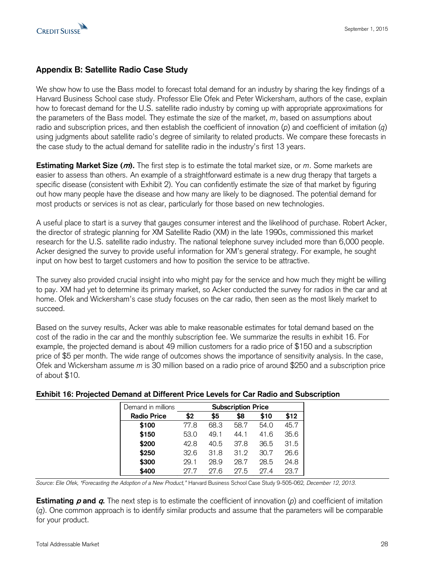

# **Appendix B: Satellite Radio Case Study**

We show how to use the Bass model to forecast total demand for an industry by sharing the key findings of a Harvard Business School case study. Professor Elie Ofek and Peter Wickersham, authors of the case, explain how to forecast demand for the U.S. satellite radio industry by coming up with appropriate approximations for the parameters of the Bass model. They estimate the size of the market, *m*, based on assumptions about radio and subscription prices, and then establish the coefficient of innovation (*p*) and coefficient of imitation (*q*) using judgments about satellite radio's degree of similarity to related products. We compare these forecasts in the case study to the actual demand for satellite radio in the industry's first 13 years.

**Estimating Market Size (m).** The first step is to estimate the total market size, or *m*. Some markets are easier to assess than others. An example of a straightforward estimate is a new drug therapy that targets a specific disease (consistent with Exhibit 2). You can confidently estimate the size of that market by figuring out how many people have the disease and how many are likely to be diagnosed. The potential demand for most products or services is not as clear, particularly for those based on new technologies.

A useful place to start is a survey that gauges consumer interest and the likelihood of purchase. Robert Acker, the director of strategic planning for XM Satellite Radio (XM) in the late 1990s, commissioned this market research for the U.S. satellite radio industry. The national telephone survey included more than 6,000 people. Acker designed the survey to provide useful information for XM's general strategy. For example, he sought input on how best to target customers and how to position the service to be attractive.

The survey also provided crucial insight into who might pay for the service and how much they might be willing to pay. XM had yet to determine its primary market, so Acker conducted the survey for radios in the car and at home. Ofek and Wickersham's case study focuses on the car radio, then seen as the most likely market to succeed.

Based on the survey results, Acker was able to make reasonable estimates for total demand based on the cost of the radio in the car and the monthly subscription fee. We summarize the results in exhibit 16. For example, the projected demand is about 49 million customers for a radio price of \$150 and a subscription price of \$5 per month. The wide range of outcomes shows the importance of sensitivity analysis. In the case, Ofek and Wickersham assume *m* is 30 million based on a radio price of around \$250 and a subscription price of about \$10.

## **Exhibit 16: Projected Demand at Different Price Levels for Car Radio and Subscription**

|                                                                                                                                                                                                            | Demand in millions |      | <b>Subscription Price</b> |      |      |      |  |  |  |  |  |
|------------------------------------------------------------------------------------------------------------------------------------------------------------------------------------------------------------|--------------------|------|---------------------------|------|------|------|--|--|--|--|--|
|                                                                                                                                                                                                            | <b>Radio Price</b> | \$2  | \$5                       | \$8  | \$10 | \$12 |  |  |  |  |  |
|                                                                                                                                                                                                            | \$100              | 77.8 | 68.3                      | 58.7 | 54.0 | 45.7 |  |  |  |  |  |
|                                                                                                                                                                                                            | \$150              | 53.0 | 49.1                      | 44.1 | 41.6 | 35.6 |  |  |  |  |  |
|                                                                                                                                                                                                            | \$200              | 42.8 | 40.5                      | 37.8 | 36.5 | 31.5 |  |  |  |  |  |
|                                                                                                                                                                                                            | \$250              | 32.6 | 31.8                      | 31.2 | 30.7 | 26.6 |  |  |  |  |  |
|                                                                                                                                                                                                            | \$300              | 29.1 | 28.9                      | 28.7 | 28.5 | 24.8 |  |  |  |  |  |
|                                                                                                                                                                                                            | \$400              | 27.7 | 27.6                      | 27.5 | 27.4 | 23.7 |  |  |  |  |  |
| Source: Elie Ofek, "Forecasting the Adoption of a New Product," Harvard Business School Case Study 9-505-062,                                                                                              |                    |      |                           |      |      |      |  |  |  |  |  |
| <b>Estimating p and q.</b> The next step is to estimate the coefficient of innovation (p) an<br>$(q)$ . One common approach is to identify similar products and assume that the param<br>for your product. |                    |      |                           |      |      |      |  |  |  |  |  |

*Source: Elie Ofek, "Forecasting the Adoption of a New Product,"* Harvard Business School Case Study 9-505-062*, December 12, 2013.*

**Estimating p and q.** The next step is to estimate the coefficient of innovation (p) and coefficient of imitation (*q*). One common approach is to identify similar products and assume that the parameters will be comparable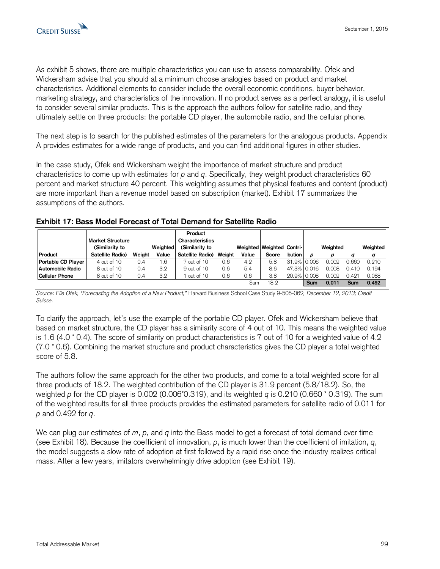As exhibit 5 shows, there are multiple characteristics you can use to assess comparability. Ofek and Wickersham advise that you should at a minimum choose analogies based on product and market characteristics. Additional elements to consider include the overall economic conditions, buyer behavior, marketing strategy, and characteristics of the innovation. If no product serves as a perfect analogy, it is useful to consider several similar products. This is the approach the authors follow for satellite radio, and they ultimately settle on three products: the portable CD player, the automobile radio, and the cellular phone.

The next step is to search for the published estimates of the parameters for the analogous products. Appendix A provides estimates for a wide range of products, and you can find additional figures in other studies.

In the case study, Ofek and Wickersham weight the importance of market structure and product characteristics to come up with estimates for *p* and *q*. Specifically, they weight product characteristics 60 percent and market structure 40 percent. This weighting assumes that physical features and content (product) are more important than a revenue model based on subscription (market). Exhibit 17 summarizes the assumptions of the authors.

| Product               | Market Structure<br>(Similarity to<br>Satellite Radio) | Weiaht | Weighted<br>Value | Product<br>Characteristics<br>(Similarity to<br>Satellite Radio) | Weiaht | Weighted   Weighted   Contri-<br>Value | Score | bution I      | D   | Weighted<br>D |       | Weighted<br>q |
|-----------------------|--------------------------------------------------------|--------|-------------------|------------------------------------------------------------------|--------|----------------------------------------|-------|---------------|-----|---------------|-------|---------------|
| Portable CD Player    | 4 out of 10                                            | 0.4    | . 6               | 7 out of 10                                                      | 0.6    | 4.2                                    | 5.8   | 31.9% 0.006   |     | 0.002         | 0.660 | 0.210         |
| Automobile Radio      | 8 out of 10                                            | 0.4    | 3.2               | 9 out of 10                                                      | 0.6    | 5.4                                    | 8.6   | 47.3% 0.016   |     | 0.008         | 0.410 | 0.194         |
| <b>Cellular Phone</b> | 8 out of 10                                            | 0.4    | 3.2               | out of 10                                                        | 0.6    | 0.6                                    | 3.8   | 20.9%   0.008 |     | 0.002         | 0.421 | 0.088         |
|                       |                                                        |        |                   |                                                                  |        | Sum                                    | 18.2  |               | Sum | 0.011         | Sum   | 0.492         |

## **Exhibit 17: Bass Model Forecast of Total Demand for Satellite Radio**

*Source: Elie Ofek, "Forecasting the Adoption of a New Product,"* Harvard Business School Case Study 9-505-062*, December 12, 2013; Credit Suisse.*

To clarify the approach, let's use the example of the portable CD player. Ofek and Wickersham believe that based on market structure, the CD player has a similarity score of 4 out of 10. This means the weighted value is 1.6 (4.0 \* 0.4). The score of similarity on product characteristics is 7 out of 10 for a weighted value of 4.2 (7.0 \* 0.6). Combining the market structure and product characteristics gives the CD player a total weighted score of 5.8.

The authors follow the same approach for the other two products, and come to a total weighted score for all three products of 18.2. The weighted contribution of the CD player is 31.9 percent (5.8/18.2). So, the weighted *p* for the CD player is 0.002 (0.006\*0.319), and its weighted *q* is 0.210 (0.660 \* 0.319). The sum of the weighted results for all three products provides the estimated parameters for satellite radio of 0.011 for *p* and 0.492 for *q*.

We can plug our estimates of *m*, *p*, and *q* into the Bass model to get a forecast of total demand over time (see Exhibit 18). Because the coefficient of innovation, *p*, is much lower than the coefficient of imitation, *q*, the model suggests a slow rate of adoption at first followed by a rapid rise once the industry realizes critical mass. After a few years, imitators overwhelmingly drive adoption (see Exhibit 19).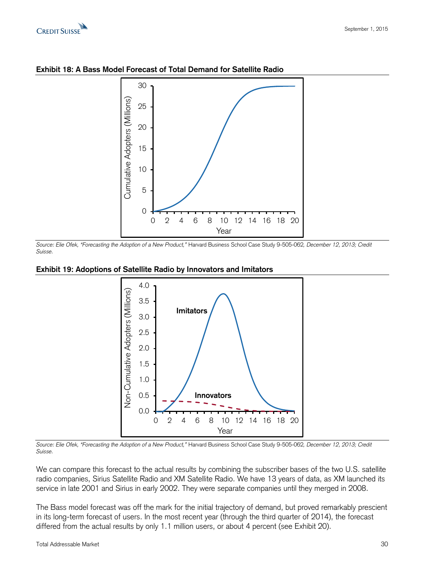



**Exhibit 18: A Bass Model Forecast of Total Demand for Satellite Radio**

*Source: Elie Ofek, "Forecasting the Adoption of a New Product,"* Harvard Business School Case Study 9-505-062*, December 12, 2013; Credit Suisse.*





*Source: Elie Ofek, "Forecasting the Adoption of a New Product,"* Harvard Business School Case Study 9-505-062*, December 12, 2013; Credit Suisse.*

We can compare this forecast to the actual results by combining the subscriber bases of the two U.S. satellite radio companies, Sirius Satellite Radio and XM Satellite Radio. We have 13 years of data, as XM launched its service in late 2001 and Sirius in early 2002. They were separate companies until they merged in 2008.

The Bass model forecast was off the mark for the initial trajectory of demand, but proved remarkably prescient in its long-term forecast of users. In the most recent year (through the third quarter of 2014), the forecast differed from the actual results by only 1.1 million users, or about 4 percent (see Exhibit 20).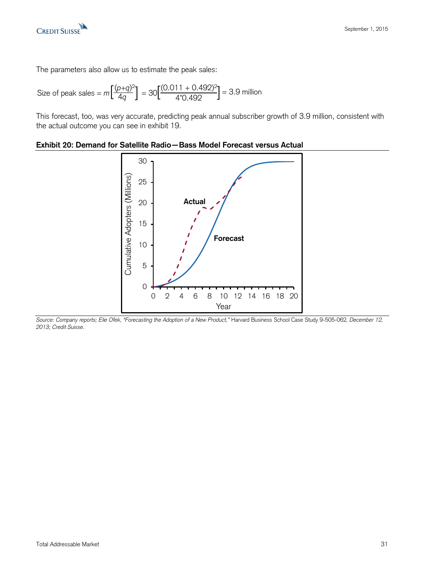

The parameters also allow us to estimate the peak sales:

Size of peak sales = 
$$
m \left[ \frac{(p+q)^2}{4q} \right]
$$
 = 30  $\left[ \frac{(0.011 + 0.492)^2}{4^*0.492} \right]$  = 3.9 million

This forecast, too, was very accurate, predicting peak annual subscriber growth of 3.9 million, consistent with the actual outcome you can see in exhibit 19.



#### **Exhibit 20: Demand for Satellite Radio—Bass Model Forecast versus Actual**

*Source: Company reports; Elie Ofek, "Forecasting the Adoption of a New Product,"* Harvard Business School Case Study 9-505-062*, December 12, 2013; Credit Suisse.*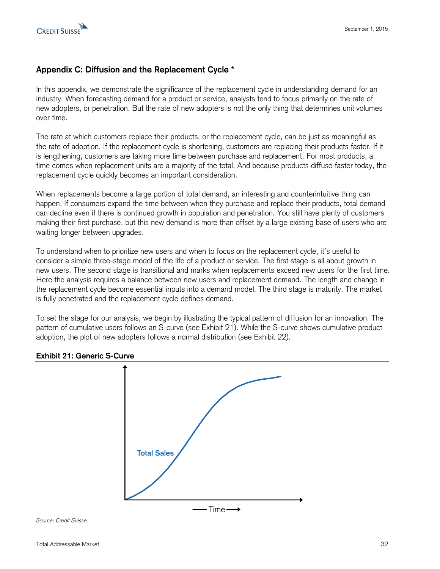# **Appendix C: Diffusion and the Replacement Cycle \***

In this appendix, we demonstrate the significance of the replacement cycle in understanding demand for an industry. When forecasting demand for a product or service, analysts tend to focus primarily on the rate of new adopters, or penetration. But the rate of new adopters is not the only thing that determines unit volumes over time.

The rate at which customers replace their products, or the replacement cycle, can be just as meaningful as the rate of adoption. If the replacement cycle is shortening, customers are replacing their products faster. If it is lengthening, customers are taking more time between purchase and replacement. For most products, a time comes when replacement units are a majority of the total. And because products diffuse faster today, the replacement cycle quickly becomes an important consideration.

When replacements become a large portion of total demand, an interesting and counterintuitive thing can happen. If consumers expand the time between when they purchase and replace their products, total demand can decline even if there is continued growth in population and penetration. You still have plenty of customers making their first purchase, but this new demand is more than offset by a large existing base of users who are waiting longer between upgrades.

To understand when to prioritize new users and when to focus on the replacement cycle, it's useful to consider a simple three-stage model of the life of a product or service. The first stage is all about growth in new users. The second stage is transitional and marks when replacements exceed new users for the first time. Here the analysis requires a balance between new users and replacement demand. The length and change in the replacement cycle become essential inputs into a demand model. The third stage is maturity. The market is fully penetrated and the replacement cycle defines demand.

To set the stage for our analysis, we begin by illustrating the typical pattern of diffusion for an innovation. The pattern of cumulative users follows an S-curve (see Exhibit 21). While the S-curve shows cumulative product adoption, the plot of new adopters follows a normal distribution (see Exhibit 22).



# **Exhibit 21: Generic S-Curve**

*Source: Credit Suisse.*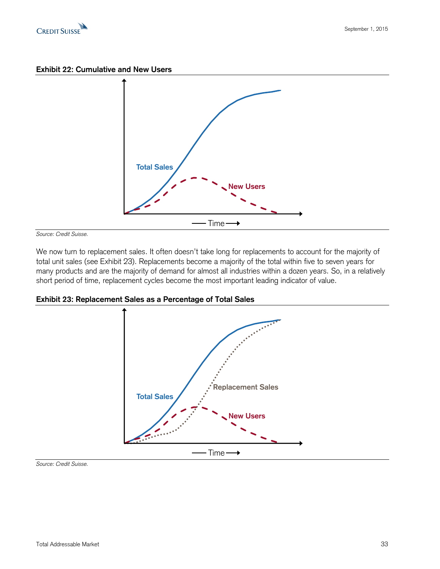

**Exhibit 22: Cumulative and New Users**



*Source: Credit Suisse.* 

We now turn to replacement sales. It often doesn't take long for replacements to account for the majority of total unit sales (see Exhibit 23). Replacements become a majority of the total within five to seven years for many products and are the majority of demand for almost all industries within a dozen years. So, in a relatively short period of time, replacement cycles become the most important leading indicator of value.





*Source: Credit Suisse.*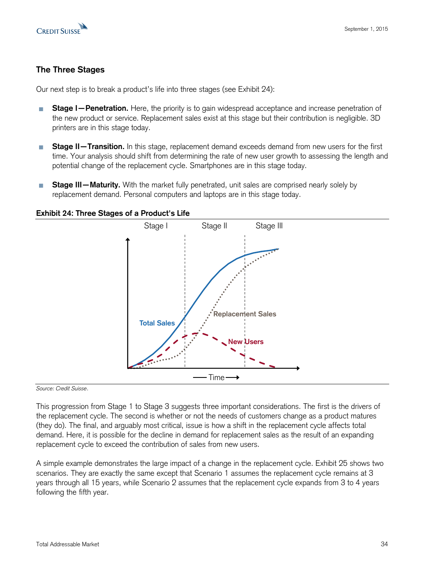

# **The Three Stages**

Our next step is to break a product's life into three stages (see Exhibit 24):

- **Stage I—Penetration.** Here, the priority is to gain widespread acceptance and increase penetration of **I** the new product or service. Replacement sales exist at this stage but their contribution is negligible. 3D printers are in this stage today.
- **Stage II—Transition.** In this stage, replacement demand exceeds demand from new users for the first **I** time. Your analysis should shift from determining the rate of new user growth to assessing the length and potential change of the replacement cycle. Smartphones are in this stage today.
- **Stage III—Maturity.** With the market fully penetrated, unit sales are comprised nearly solely by P. replacement demand. Personal computers and laptops are in this stage today.

## **Exhibit 24: Three Stages of a Product's Life**



*Source: Credit Suisse*.

This progression from Stage 1 to Stage 3 suggests three important considerations. The first is the drivers of the replacement cycle. The second is whether or not the needs of customers change as a product matures (they do). The final, and arguably most critical, issue is how a shift in the replacement cycle affects total demand. Here, it is possible for the decline in demand for replacement sales as the result of an expanding replacement cycle to exceed the contribution of sales from new users.

A simple example demonstrates the large impact of a change in the replacement cycle. Exhibit 25 shows two scenarios. They are exactly the same except that Scenario 1 assumes the replacement cycle remains at 3 years through all 15 years, while Scenario 2 assumes that the replacement cycle expands from 3 to 4 years following the fifth year.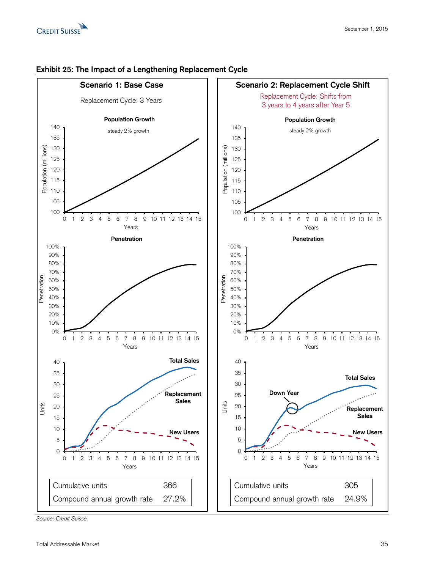



#### **Exhibit 25: The Impact of a Lengthening Replacement Cycle**

*Source: Credit Suisse.*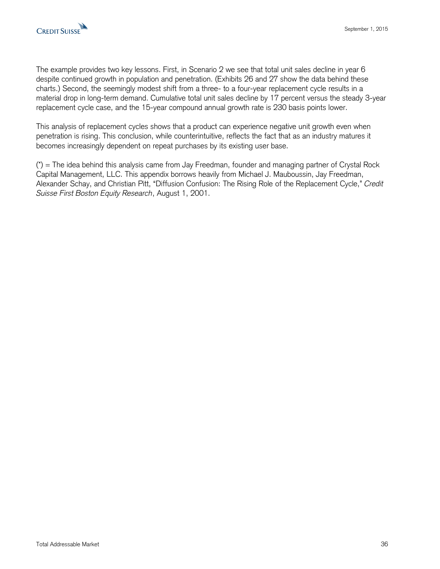The example provides two key lessons. First, in Scenario 2 we see that total unit sales decline in year 6 despite continued growth in population and penetration. (Exhibits 26 and 27 show the data behind these charts.) Second, the seemingly modest shift from a three- to a four-year replacement cycle results in a material drop in long-term demand. Cumulative total unit sales decline by 17 percent versus the steady 3-year replacement cycle case, and the 15-year compound annual growth rate is 230 basis points lower.

This analysis of replacement cycles shows that a product can experience negative unit growth even when penetration is rising. This conclusion, while counterintuitive, reflects the fact that as an industry matures it becomes increasingly dependent on repeat purchases by its existing user base.

(\*) = The idea behind this analysis came from Jay Freedman, founder and managing partner of Crystal Rock Capital Management, LLC. This appendix borrows heavily from Michael J. Mauboussin, Jay Freedman, Alexander Schay, and Christian Pitt, "Diffusion Confusion: The Rising Role of the Replacement Cycle," *Credit Suisse First Boston Equity Research*, August 1, 2001.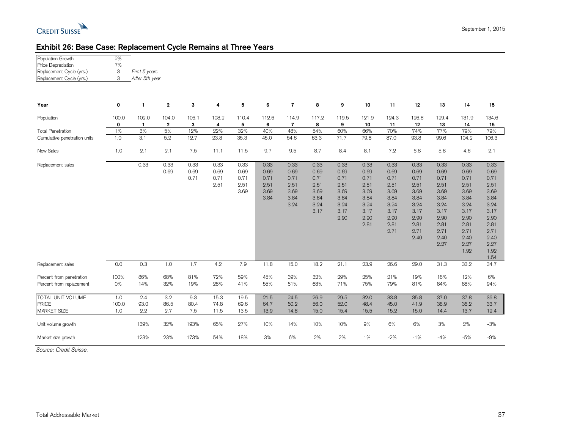

# **Exhibit 26: Base Case: Replacement Cycle Remains at Three Years**

| Population Growth<br>Price Depreciation<br>Replacement Cycle (yrs.)<br>Replacement Cycle (yrs.) | 2%<br>7%<br>3<br>3  | First 5 years<br>After 5th year |                       |                      |                              |                                      |                                              |                                                      |                                                              |                                                                      |                                                                              |                                                                                      |                                                                                              |                                                                                                      |                                                                                                              |                                                                                                                      |
|-------------------------------------------------------------------------------------------------|---------------------|---------------------------------|-----------------------|----------------------|------------------------------|--------------------------------------|----------------------------------------------|------------------------------------------------------|--------------------------------------------------------------|----------------------------------------------------------------------|------------------------------------------------------------------------------|--------------------------------------------------------------------------------------|----------------------------------------------------------------------------------------------|------------------------------------------------------------------------------------------------------|--------------------------------------------------------------------------------------------------------------|----------------------------------------------------------------------------------------------------------------------|
| Year                                                                                            | 0                   | $\mathbf{1}$                    | $\mathbf{2}$          | 3                    | 4                            | 5                                    | 6                                            | $\overline{7}$                                       | 8                                                            | 9                                                                    | 10                                                                           | 11                                                                                   | 12                                                                                           | 13                                                                                                   | 14                                                                                                           | 15                                                                                                                   |
| Population                                                                                      | 100.0<br>0          | 102.0<br>$\mathbf{1}$           | 104.0<br>$\mathbf{2}$ | 106.1<br>3           | 108.2<br>4                   | 110.4<br>5                           | 112.6<br>6                                   | 114.9<br>7                                           | 117.2<br>8                                                   | 119.5<br>9                                                           | 121.9<br>10                                                                  | 124.3<br>11                                                                          | 126.8<br>12                                                                                  | 129.4<br>13                                                                                          | 131.9<br>14                                                                                                  | 134.6<br>15                                                                                                          |
| <b>Total Penetration</b><br>Cumulative penetration units                                        | 1%<br>1.0           | 3%<br>3.1                       | 5%<br>5.2             | 12%<br>12.7          | 22%<br>23.8                  | 32%<br>35.3                          | 40%<br>45.0                                  | 48%<br>54.6                                          | 54%<br>63.3                                                  | 60%<br>71.7                                                          | 66%<br>79.8                                                                  | 70%<br>87.0                                                                          | 74%<br>93.8                                                                                  | 77%<br>99.6                                                                                          | 79%<br>104.2                                                                                                 | 79%<br>106.3                                                                                                         |
| New Sales                                                                                       | 1.0                 | 2.1                             | 2.1                   | 7.5                  | 11.1                         | 11.5                                 | 9.7                                          | 9.5                                                  | 8.7                                                          | 8.4                                                                  | 8.1                                                                          | 7.2                                                                                  | 6.8                                                                                          | 5.8                                                                                                  | 4.6                                                                                                          | 2.1                                                                                                                  |
| Replacement sales                                                                               |                     | 0.33                            | 0.33<br>0.69          | 0.33<br>0.69<br>0.71 | 0.33<br>0.69<br>0.71<br>2.51 | 0.33<br>0.69<br>0.71<br>2.51<br>3.69 | 0.33<br>0.69<br>0.71<br>2.51<br>3.69<br>3.84 | 0.33<br>0.69<br>0.71<br>2.51<br>3.69<br>3.84<br>3.24 | 0.33<br>0.69<br>0.71<br>2.51<br>3.69<br>3.84<br>3.24<br>3.17 | 0.33<br>0.69<br>0.71<br>2.51<br>3.69<br>3.84<br>3.24<br>3.17<br>2.90 | 0.33<br>0.69<br>0.71<br>2.51<br>3.69<br>3.84<br>3.24<br>3.17<br>2.90<br>2.81 | 0.33<br>0.69<br>0.71<br>2.51<br>3.69<br>3.84<br>3.24<br>3.17<br>2.90<br>2.81<br>2.71 | 0.33<br>0.69<br>0.71<br>2.51<br>3.69<br>3.84<br>3.24<br>3.17<br>2.90<br>2.81<br>2.71<br>2.40 | 0.33<br>0.69<br>0.71<br>2.51<br>3.69<br>3.84<br>3.24<br>3.17<br>2.90<br>2.81<br>2.71<br>2.40<br>2.27 | 0.33<br>0.69<br>0.71<br>2.51<br>3.69<br>3.84<br>3.24<br>3.17<br>2.90<br>2.81<br>2.71<br>2.40<br>2.27<br>1.92 | 0.33<br>0.69<br>0.71<br>2.51<br>3.69<br>3.84<br>3.24<br>3.17<br>2.90<br>2.81<br>2.71<br>2.40<br>2.27<br>1.92<br>1.54 |
| Replacement sales                                                                               | 0.0                 | 0.3                             | 1.0                   | 1.7                  | 4.2                          | 7.9                                  | 11.8                                         | 15.0                                                 | 18.2                                                         | 21.1                                                                 | 23.9                                                                         | 26.6                                                                                 | 29.0                                                                                         | 31.3                                                                                                 | 33.2                                                                                                         | 34.7                                                                                                                 |
| Percent from penetration<br>Percent from replacement                                            | 100%<br>0%          | 86%<br>14%                      | 68%<br>32%            | 81%<br>19%           | 72%<br>28%                   | 59%<br>41%                           | 45%<br>55%                                   | 39%<br>61%                                           | 32%<br>68%                                                   | 29%<br>71%                                                           | 25%<br>75%                                                                   | 21%<br>79%                                                                           | 19%<br>81%                                                                                   | 16%<br>84%                                                                                           | 12%<br>88%                                                                                                   | 6%<br>94%                                                                                                            |
| <b>TOTAL UNIT VOLUME</b><br><b>PRICE</b><br><b>MARKET SIZE</b>                                  | 1.0<br>100.0<br>1.0 | 2.4<br>93.0<br>2.2              | 3.2<br>86.5<br>2.7    | 9.3<br>80.4<br>7.5   | 15.3<br>74.8<br>11.5         | 19.5<br>69.6<br>13.5                 | 21.5<br>64.7<br>13.9                         | 24.5<br>60.2<br>14.8                                 | 26.9<br>56.0<br>15.0                                         | 29.5<br>52.0<br>15.4                                                 | 32.0<br>48.4<br>15.5                                                         | 33.8<br>45.0<br>15.2                                                                 | 35.8<br>41.9<br>15.0                                                                         | 37.0<br>38.9<br>14.4                                                                                 | 37.8<br>36.2<br>13.7                                                                                         | 36.8<br>33.7<br>12.4                                                                                                 |
| Unit volume growth                                                                              |                     | 139%                            | 32%                   | 193%                 | 65%                          | 27%                                  | 10%                                          | 14%                                                  | 10%                                                          | 10%                                                                  | 9%                                                                           | 6%                                                                                   | 6%                                                                                           | 3%                                                                                                   | 2%                                                                                                           | $-3%$                                                                                                                |
| Market size growth                                                                              |                     | 123%                            | 23%                   | 173%                 | 54%                          | 18%                                  | 3%                                           | 6%                                                   | 2%                                                           | 2%                                                                   | 1%                                                                           | $-2%$                                                                                | $-1%$                                                                                        | $-4%$                                                                                                | $-5%$                                                                                                        | $-9%$                                                                                                                |

*Source: Credit Suisse.*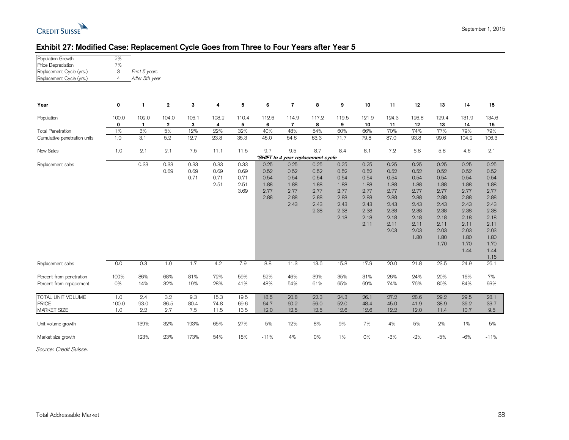

| Population Growth                               | 2% |               |   |   |   |  |
|-------------------------------------------------|----|---------------|---|---|---|--|
| Price Depreciation                              | 7% |               |   |   |   |  |
| Replacement Cycle (yrs.)                        | 3  | First 5 years |   |   |   |  |
| After 5th year<br>Replacement Cycle (yrs.)<br>4 |    |               |   |   |   |  |
|                                                 |    |               |   |   |   |  |
| Year                                            | 0  |               | 2 | 3 | 4 |  |

| Year                         | 0                                  | -1           | $\overline{\mathbf{2}}$ | 3     | 4     | 5     | 6      | $\overline{7}$ | 8     | 9     | 10    | 11    | 12    | 13    | 14    | 15     |
|------------------------------|------------------------------------|--------------|-------------------------|-------|-------|-------|--------|----------------|-------|-------|-------|-------|-------|-------|-------|--------|
| Population                   | 100.0                              | 102.0        | 104.0                   | 106.1 | 108.2 | 110.4 | 112.6  | 114.9          | 117.2 | 119.5 | 121.9 | 124.3 | 126.8 | 129.4 | 131.9 | 134.6  |
|                              | 0                                  | $\mathbf{1}$ | $\overline{2}$          | 3     | 4     | 5     | 6      | $\overline{7}$ | 8     | 9     | 10    | 11    | 12    | 13    | 14    | 15     |
| <b>Total Penetration</b>     | 1%                                 | 3%           | 5%                      | 12%   | 22%   | 32%   | 40%    | 48%            | 54%   | 60%   | 66%   | 70%   | 74%   | 77%   | 79%   | 79%    |
| Cumulative penetration units | 1.0                                | 3.1          | 5.2                     | 12.7  | 23.8  | 35.3  | 45.0   | 54.6           | 63.3  | 71.7  | 79.8  | 87.0  | 93.8  | 99.6  | 104.2 | 106.3  |
| New Sales                    | 1.0                                | 2.1          | 2.1                     | 7.5   | 11.1  | 11.5  | 9.7    | 9.5            | 8.7   | 8.4   | 8.1   | 7.2   | 6.8   | 5.8   | 4.6   | 2.1    |
|                              | *SHIFT to 4 year replacement cycle |              |                         |       |       |       |        |                |       |       |       |       |       |       |       |        |
| Replacement sales            |                                    | 0.33         | 0.33                    | 0.33  | 0.33  | 0.33  | 0.25   | 0.25           | 0.25  | 0.25  | 0.25  | 0.25  | 0.25  | 0.25  | 0.25  | 0.25   |
|                              |                                    |              | 0.69                    | 0.69  | 0.69  | 0.69  | 0.52   | 0.52           | 0.52  | 0.52  | 0.52  | 0.52  | 0.52  | 0.52  | 0.52  | 0.52   |
|                              |                                    |              |                         | 0.71  | 0.71  | 0.71  | 0.54   | 0.54           | 0.54  | 0.54  | 0.54  | 0.54  | 0.54  | 0.54  | 0.54  | 0.54   |
|                              |                                    |              |                         |       | 2.51  | 2.51  | 1.88   | 1.88           | 1.88  | 1.88  | 1.88  | 1.88  | 1.88  | 1.88  | 1.88  | 1.88   |
|                              |                                    |              |                         |       |       | 3.69  | 2.77   | 2.77           | 2.77  | 2.77  | 2.77  | 2.77  | 2.77  | 2.77  | 2.77  | 2.77   |
|                              |                                    |              |                         |       |       |       | 2.88   | 2.88           | 2.88  | 2.88  | 2.88  | 2.88  | 2.88  | 2.88  | 2.88  | 2.88   |
|                              |                                    |              |                         |       |       |       |        | 2.43           | 2.43  | 2.43  | 2.43  | 2.43  | 2.43  | 2.43  | 2.43  | 2.43   |
|                              |                                    |              |                         |       |       |       |        |                | 2.38  | 2.38  | 2.38  | 2.38  | 2.38  | 2.38  | 2.38  | 2.38   |
|                              |                                    |              |                         |       |       |       |        |                |       | 2.18  | 2.18  | 2.18  | 2.18  | 2.18  | 2.18  | 2.18   |
|                              |                                    |              |                         |       |       |       |        |                |       |       | 2.11  | 2.11  | 2.11  | 2.11  | 2.11  | 2.11   |
|                              |                                    |              |                         |       |       |       |        |                |       |       |       | 2.03  | 2.03  | 2.03  | 2.03  | 2.03   |
|                              |                                    |              |                         |       |       |       |        |                |       |       |       |       | 1.80  | 1.80  | 1.80  | 1.80   |
|                              |                                    |              |                         |       |       |       |        |                |       |       |       |       |       | 1.70  | 1.70  | 1.70   |
|                              |                                    |              |                         |       |       |       |        |                |       |       |       |       |       |       | 1.44  | 1.44   |
|                              |                                    |              |                         |       |       |       |        |                |       |       |       |       |       |       |       | 1.16   |
| Replacement sales            | 0.0                                | 0.3          | 1.0                     | 1.7   | 4.2   | 7.9   | 8.8    | 11.3           | 13.6  | 15.8  | 17.9  | 20.0  | 21.8  | 23.5  | 24.9  | 26.1   |
| Percent from penetration     | 100%                               | 86%          | 68%                     | 81%   | 72%   | 59%   | 52%    | 46%            | 39%   | 35%   | 31%   | 26%   | 24%   | 20%   | 16%   | 7%     |
| Percent from replacement     | 0%                                 | 14%          | 32%                     | 19%   | 28%   | 41%   | 48%    | 54%            | 61%   | 65%   | 69%   | 74%   | 76%   | 80%   | 84%   | 93%    |
| TOTAL UNIT VOLUME            | 1.0                                | 2.4          | 3.2                     | 9.3   | 15.3  | 19.5  | 18.5   | 20.8           | 22.3  | 24.3  | 26.1  | 27.2  | 28.6  | 29.2  | 29.5  | 28.1   |
| <b>PRICE</b>                 | 100.0                              | 93.0         | 86.5                    | 80.4  | 74.8  | 69.6  | 64.7   | 60.2           | 56.0  | 52.0  | 48.4  | 45.0  | 41.9  | 38.9  | 36.2  | 33.7   |
| <b>MARKET SIZE</b>           | 1.0                                | 2.2          | 2.7                     | 7.5   | 11.5  | 13.5  | 12.0   | 12.5           | 12.5  | 12.6  | 12.6  | 12.2  | 12.0  | 11.4  | 10.7  | 9.5    |
| Unit volume growth           |                                    | 139%         | 32%                     | 193%  | 65%   | 27%   | $-5%$  | 12%            | 8%    | 9%    | 7%    | 4%    | 5%    | 2%    | 1%    | $-5%$  |
| Market size growth           |                                    | 123%         | 23%                     | 173%  | 54%   | 18%   | $-11%$ | 4%             | 0%    | 1%    | 0%    | $-3%$ | $-2%$ | $-5%$ | $-6%$ | $-11%$ |

*Source: Credit Suisse.*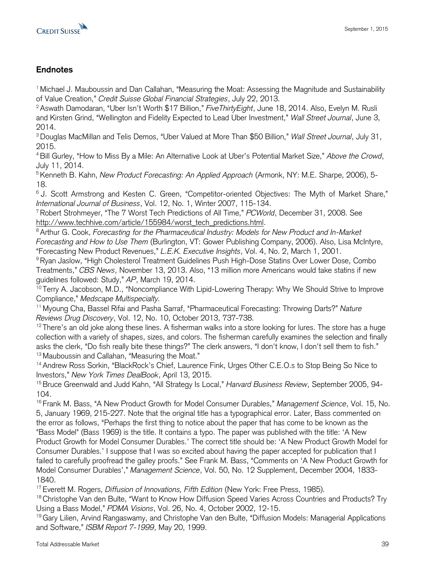

# **Endnotes**

<sup>1</sup>Michael J. Mauboussin and Dan Callahan, "Measuring the Moat: Assessing the Magnitude and Sustainability of Value Creation," *Credit Suisse Global Financial Strategies*, July 22, 2013.

<sup>2</sup>Aswath Damodaran, "Uber Isn't Worth \$17 Billion," *FiveThirtyEight*, June 18, 2014. Also, Evelyn M. Rusli and Kirsten Grind, "Wellington and Fidelity Expected to Lead Uber Investment," *Wall Street Journal*, June 3, 2014.

<sup>3</sup>Douglas MacMillan and Telis Demos, "Uber Valued at More Than \$50 Billion," *Wall Street Journal*, July 31, 2015.

<sup>4</sup>Bill Gurley, "How to Miss By a Mile: An Alternative Look at Uber's Potential Market Size," *Above the Crowd*, July 11, 2014.

<sup>5</sup>Kenneth B. Kahn, *New Product Forecasting: An Applied Approach* (Armonk, NY: M.E. Sharpe, 2006), 5- 18.

<sup>6</sup>J. Scott Armstrong and Kesten C. Green, "Competitor-oriented Objectives: The Myth of Market Share," *International Journal of Business*, Vol. 12, No. 1, Winter 2007, 115-134.

<sup>7</sup>Robert Strohmeyer, "The 7 Worst Tech Predictions of All Time," *PCWorld*, December 31, 2008. See [http://www.techhive.com/article/155984/worst\\_tech\\_predictions.html.](http://www.techhive.com/article/155984/worst_tech_predictions.html)

<sup>8</sup> Arthur G. Cook, *Forecasting for the Pharmaceutical Industry: Models for New Product and In-Market Forecasting and How to Use Them* (Burlington, VT: Gower Publishing Company, 2006). Also, Lisa McIntyre, "Forecasting New Product Revenues," *L.E.K. Executive Insights*, Vol. 4, No. 2, March 1, 2001.

<sup>9</sup> Ryan Jaslow, "High Cholesterol Treatment Guidelines Push High-Dose Statins Over Lower Dose, Combo Treatments," *CBS News*, November 13, 2013. Also, "13 million more Americans would take statins if new guidelines followed: Study," *AP*, March 19, 2014.

<sup>10</sup> Terry A. Jacobson, M.D., "Noncompliance With Lipid-Lowering Therapy: Why We Should Strive to Improve Compliance," *Medscape Multispecialty.*

<sup>11</sup>Myoung Cha, Bassel Rifai and Pasha Sarraf, "Pharmaceutical Forecasting: Throwing Darts?" *Nature Reviews Drug Discovery*, Vol. 12, No. 10, October 2013, 737-738.

 $12$ There's an old joke along these lines. A fisherman walks into a store looking for lures. The store has a huge collection with a variety of shapes, sizes, and colors. The fisherman carefully examines the selection and finally asks the clerk, "Do fish really bite these things?" The clerk answers, "I don't know, I don't sell them to fish." <sup>13</sup> Mauboussin and Callahan, "Measuring the Moat."

<sup>14</sup> Andrew Ross Sorkin, "BlackRock's Chief, Laurence Fink, Urges Other C.E.O.s to Stop Being So Nice to Investors," *New York Times DealBook*, April 13, 2015.

<sup>15</sup> Bruce Greenwald and Judd Kahn, "All Strategy Is Local," *Harvard Business Review*, September 2005, 94- 104.

<sup>16</sup> Frank M. Bass, "A New Product Growth for Model Consumer Durables," *Management Science*, Vol. 15, No. 5, January 1969, 215-227. Note that the original title has a typographical error. Later, Bass commented on the error as follows, "Perhaps the first thing to notice about the paper that has come to be known as the "Bass Model" (Bass 1969) is the title. It contains a typo. The paper was published with the title: 'A New Product Growth for Model Consumer Durables.' The correct title should be: 'A New Product Growth Model for Consumer Durables.' I suppose that I was so excited about having the paper accepted for publication that I failed to carefully proofread the galley proofs." See Frank M. Bass, "Comments on 'A New Product Growth for Model Consumer Durables'," *Management Science*, Vol. 50, No. 12 Supplement, December 2004, 1833- 1840.

<sup>17</sup> Everett M. Rogers, *Diffusion of Innovations, Fifth Edition* (New York: Free Press, 1985).

<sup>18</sup> Christophe Van den Bulte, "Want to Know How Diffusion Speed Varies Across Countries and Products? Try Using a Bass Model," *PDMA Visions*, Vol. 26, No. 4, October 2002, 12-15.

<sup>19</sup> Gary Lilien, Arvind Rangaswamy, and Christophe Van den Bulte, "Diffusion Models: Managerial Applications and Software," *ISBM Report 7-1999*, May 20, 1999.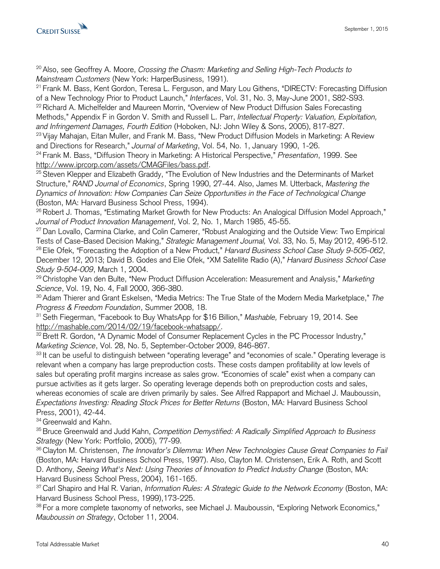

<sup>20</sup> Also, see Geoffrey A. Moore, *Crossing the Chasm: Marketing and Selling High-Tech Products to Mainstream Customers* (New York: HarperBusiness, 1991).

<sup>21</sup> Frank M. Bass, Kent Gordon, Teresa L. Ferguson, and Mary Lou Githens, "DIRECTV: Forecasting Diffusion of a New Technology Prior to Product Launch," *Interfaces*, Vol. 31, No. 3, May-June 2001, S82-S93. <sup>22</sup> Richard A. Michelfelder and Maureen Morrin, "Overview of New Product Diffusion Sales Forecasting Methods," Appendix F in Gordon V. Smith and Russell L. Parr, *Intellectual Property: Valuation, Exploitation, and Infringement Damages, Fourth Edition* (Hoboken, NJ: John Wiley & Sons, 2005), 817-827.

<sup>23</sup> Vijay Mahajan, Eitan Muller, and Frank M. Bass, "New Product Diffusion Models in Marketing: A Review and Directions for Research," *Journal of Marketing*, Vol. 54, No. 1, January 1990, 1-26.

<sup>24</sup> Frank M. Bass, "Diffusion Theory in Marketing: A Historical Perspective," *Presentation*, 1999. See [http://www.iprcorp.com/assets/CMAGFiles/bass.pdf.](http://www.iprcorp.com/assets/CMAGFiles/bass.pdf)

<sup>25</sup> Steven Klepper and Elizabeth Graddy, "The Evolution of New Industries and the Determinants of Market Structure," *RAND Journal of Economics*, Spring 1990, 27-44. Also, James M. Utterback, *Mastering the Dynamics of Innovation: How Companies Can Seize Opportunities in the Face of Technological Change* (Boston, MA: Harvard Business School Press, 1994).

<sup>26</sup> Robert J. Thomas, "Estimating Market Growth for New Products: An Analogical Diffusion Model Approach," *Journal of Product Innovation Management*, Vol. 2, No. 1, March 1985, 45-55.

<sup>27</sup> Dan Lovallo, Carmina Clarke, and Colin Camerer, "Robust Analogizing and the Outside View: Two Empirical Tests of Case-Based Decision Making," *Strategic Management Journal,* Vol. 33, No. 5, May 2012, 496-512. <sup>28</sup>Elie Ofek, "Forecasting the Adoption of a New Product," *Harvard Business School Case Study 9-505-062*, December 12, 2013; David B. Godes and Elie Ofek, "XM Satellite Radio (A)," *Harvard Business School Case Study 9-504-009*, March 1, 2004.

<sup>29</sup>Christophe Van den Bulte, "New Product Diffusion Acceleration: Measurement and Analysis," *Marketing Science*, Vol. 19, No. 4, Fall 2000, 366-380.

<sup>30</sup>Adam Thierer and Grant Eskelsen, "Media Metrics: The True State of the Modern Media Marketplace," *The Progress & Freedom Foundation*, Summer 2008, 18.

<sup>31</sup>Seth Fiegerman, "Facebook to Buy WhatsApp for \$16 Billion," *Mashable,* February 19, 2014. See [http://mashable.com/2014/02/19/facebook-whatsapp/.](http://mashable.com/2014/02/19/facebook-whatsapp/)

<sup>32</sup> Brett R. Gordon, "A Dynamic Model of Consumer Replacement Cycles in the PC Processor Industry," *Marketing Science*, Vol. 28, No. 5, September-October 2009, 846-867.

33 It can be useful to distinguish between "operating leverage" and "economies of scale." Operating leverage is relevant when a company has large preproduction costs. These costs dampen profitability at low levels of sales but operating profit margins increase as sales grow. "Economies of scale" exist when a company can pursue activities as it gets larger. So operating leverage depends both on preproduction costs and sales, whereas economies of scale are driven primarily by sales. See Alfred Rappaport and Michael J. Mauboussin, *Expectations Investing: Reading Stock Prices for Better Returns* (Boston, MA: Harvard Business School Press, 2001), 42-44.

<sup>34</sup> Greenwald and Kahn.

<sup>35</sup> Bruce Greenwald and Judd Kahn, *Competition Demystified: A Radically Simplified Approach to Business Strategy* (New York: Portfolio, 2005), 77-99.

<sup>36</sup> Clayton M. Christensen, *The Innovator's Dilemma: When New Technologies Cause Great Companies to Fail* (Boston, MA: Harvard Business School Press, 1997). Also, Clayton M. Christensen, Erik A. Roth, and Scott D. Anthony, *Seeing What's Next: Using Theories of Innovation to Predict Industry Change* (Boston, MA: Harvard Business School Press, 2004), 161-165.

<sup>37</sup>Carl Shapiro and Hal R. Varian, *Information Rules: A Strategic Guide to the Network Economy* (Boston, MA: Harvard Business School Press, 1999),173-225.

<sup>38</sup>For a more complete taxonomy of networks, see Michael J. Mauboussin, "Exploring Network Economics," *Mauboussin on Strategy*, October 11, 2004.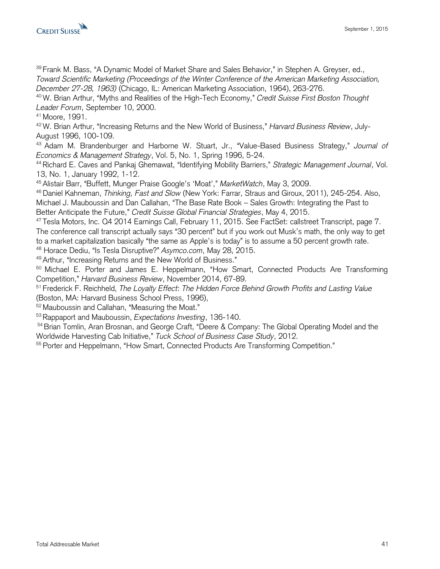

39 Frank M. Bass, "A Dynamic Model of Market Share and Sales Behavior," in Stephen A. Greyser, ed., *Toward Scientific Marketing (Proceedings of the Winter Conference of the American Marketing Association, December 27-28, 1963)* (Chicago, IL: American Marketing Association, 1964), 263-276.

<sup>40</sup>W. Brian Arthur, "Myths and Realities of the High-Tech Economy," *Credit Suisse First Boston Thought Leader Forum*, September 10, 2000.

<sup>41</sup> Moore, 1991.

42 W. Brian Arthur, "Increasing Returns and the New World of Business," *Harvard Business Review*, July-August 1996, 100-109.

<sup>43</sup>Adam M. Brandenburger and Harborne W. Stuart, Jr., "Value-Based Business Strategy," *Journal of Economics & Management Strategy*, Vol. 5, No. 1, Spring 1996, 5-24.

<sup>44</sup>Richard E. Caves and Pankaj Ghemawat, "Identifying Mobility Barriers," *Strategic Management Journal*, Vol. 13, No. 1, January 1992, 1-12.

<sup>45</sup>Alistair Barr, "Buffett, Munger Praise Google's 'Moat'," *MarketWatch*, May 3, 2009.

<sup>46</sup>Daniel Kahneman, *Thinking, Fast and Slow* (New York: Farrar, Straus and Giroux, 2011), 245-254. Also, Michael J. Mauboussin and Dan Callahan, "The Base Rate Book – Sales Growth: Integrating the Past to Better Anticipate the Future," *Credit Suisse Global Financial Strategies*, May 4, 2015.

<sup>47</sup>Tesla Motors, Inc. Q4 2014 Earnings Call, February 11, 2015. See FactSet: callstreet Transcript, page 7. The conference call transcript actually says "30 percent" but if you work out Musk's math, the only way to get to a market capitalization basically "the same as Apple's is today" is to assume a 50 percent growth rate.

<sup>48</sup> Horace Dediu, "Is Tesla Disruptive?" *Asymco.com*, May 28, 2015.

<sup>49</sup> Arthur, "Increasing Returns and the New World of Business."

<sup>50</sup> Michael E. Porter and James E. Heppelmann, "How Smart, Connected Products Are Transforming Competition," *Harvard Business Review*, November 2014, 67-89.

<sup>51</sup> Frederick F. Reichheld, *The Loyalty Effect*: *The Hidden Force Behind Growth Profits and Lasting Value* (Boston, MA: Harvard Business School Press, 1996),

<sup>52</sup> Mauboussin and Callahan, "Measuring the Moat."

<sup>53</sup> Rappaport and Mauboussin, *Expectations Investing*, 136-140.

<sup>54</sup> Brian Tomlin, Aran Brosnan, and George Craft, "Deere & Company: The Global Operating Model and the Worldwide Harvesting Cab Initiative," *Tuck School of Business Case Study*, 2012.

<sup>55</sup> Porter and Heppelmann, "How Smart, Connected Products Are Transforming Competition."